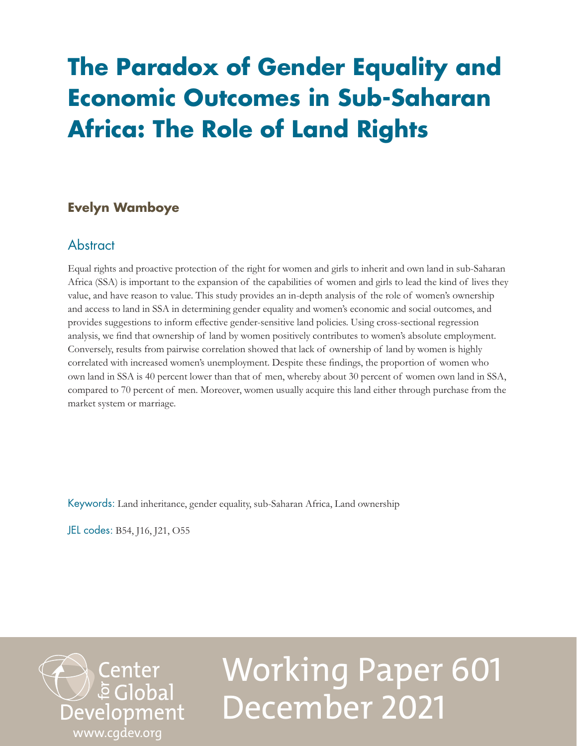## **The Paradox of Gender Equality and Economic Outcomes in Sub-Saharan Africa: The Role of Land Rights**

## **Evelyn Wamboye**

## **Abstract**

Equal rights and proactive protection of the right for women and girls to inherit and own land in sub-Saharan Africa (SSA) is important to the expansion of the capabilities of women and girls to lead the kind of lives they value, and have reason to value. This study provides an in-depth analysis of the role of women's ownership and access to land in SSA in determining gender equality and women's economic and social outcomes, and provides suggestions to inform effective gender-sensitive land policies. Using cross-sectional regression analysis, we find that ownership of land by women positively contributes to women's absolute employment. Conversely, results from pairwise correlation showed that lack of ownership of land by women is highly correlated with increased women's unemployment. Despite these findings, the proportion of women who own land in SSA is 40 percent lower than that of men, whereby about 30 percent of women own land in SSA, compared to 70 percent of men. Moreover, women usually acquire this land either through purchase from the market system or marriage.

Keywords: Land inheritance, gender equality, sub-Saharan Africa, Land ownership

JEL codes: B54, J16, J21, O55



# Working Paper 601 December 2021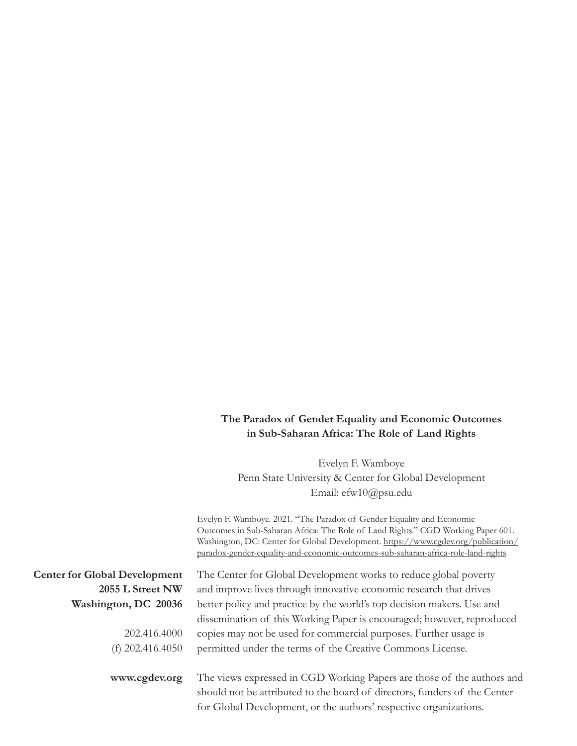## **The Paradox of Gender Equality and Economic Outcomes in Sub-Saharan Africa: The Role of Land Rights**

Evelyn F. Wamboye Penn State University & Center for Global Development Email: [efw10@psu.edu](mailto:efw10@psu.edu)

Evelyn F. Wamboye. 2021. "The Paradox of Gender Equality and Economic Outcomes in Sub-Saharan Africa: The Role of Land Rights." CGD Working Paper 601. Washington, DC: Center for Global Development. [https://www.cgdev.org/publication/](https://www.cgdev.org/publication/paradox-gender-equality-and-economic-outcomes-sub-saharan-africa-role-land-rights) [paradox-gender-equality-and-economic-outcomes-sub-saharan-africa-role-land-rights](https://www.cgdev.org/publication/paradox-gender-equality-and-economic-outcomes-sub-saharan-africa-role-land-rights)

**Center for Global Development 2055 L Street NW Washington, DC 20036**

> 202.416.4000 (f) 202.416.4050

**www.cgdev.org**

The Center for Global Development works to reduce global poverty and improve lives through innovative economic research that drives better policy and practice by the world's top decision makers. Use and dissemination of this Working Paper is encouraged; however, reproduced copies may not be used for commercial purposes. Further usage is permitted under the terms of the Creative Commons License.

The views expressed in CGD Working Papers are those of the authors and should not be attributed to the board of directors, funders of the Center for Global Development, or the authors' respective organizations.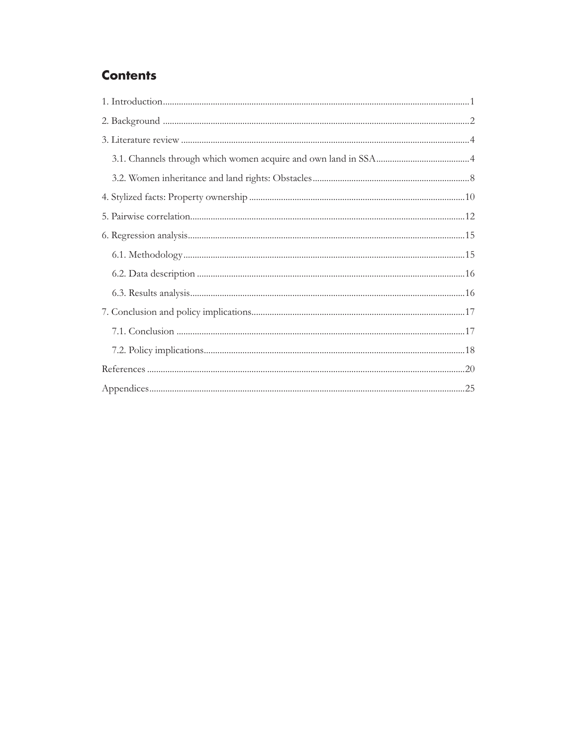## **Contents**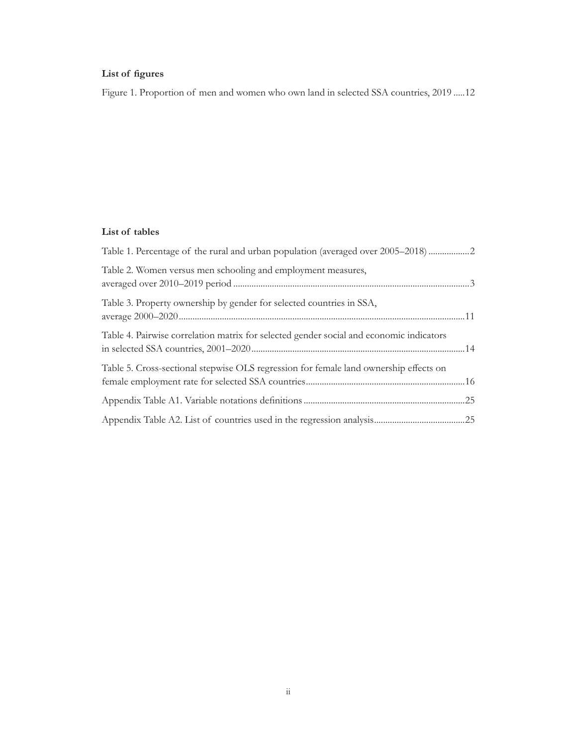## **List of figures**

[Figure 1. Proportion of men and women who own land in selected SSA countries, 2019](#page-15-0) .....12

#### **List of tables**

| Table 1. Percentage of the rural and urban population (averaged over 2005–2018) 2       |  |
|-----------------------------------------------------------------------------------------|--|
| Table 2. Women versus men schooling and employment measures,                            |  |
| Table 3. Property ownership by gender for selected countries in SSA,                    |  |
| Table 4. Pairwise correlation matrix for selected gender social and economic indicators |  |
| Table 5. Cross-sectional stepwise OLS regression for female land ownership effects on   |  |
|                                                                                         |  |
|                                                                                         |  |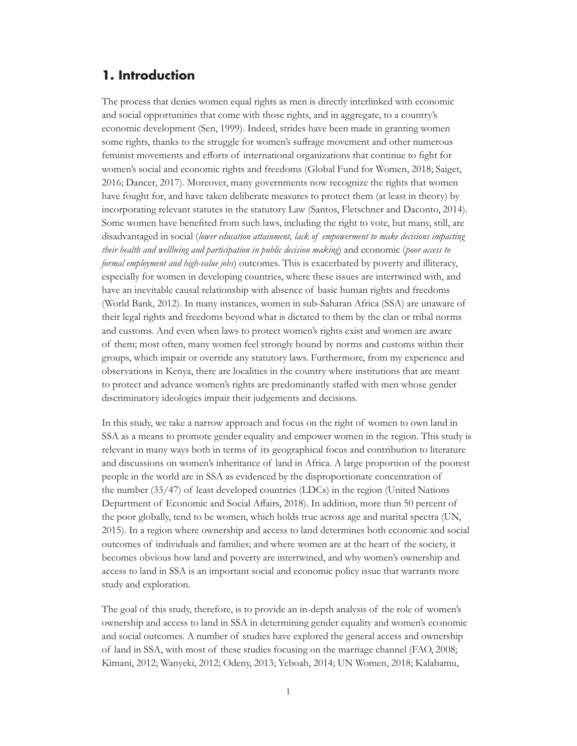## <span id="page-4-0"></span>**1. Introduction**

The process that denies women equal rights as men is directly interlinked with economic and social opportunities that come with those rights, and in aggregate, to a country's economic development (Sen, 1999). Indeed, strides have been made in granting women some rights, thanks to the struggle for women's suffrage movement and other numerous feminist movements and efforts of international organizations that continue to fight for women's social and economic rights and freedoms (Global Fund for Women, 2018; Saiget, 2016; Dancer, 2017). Moreover, many governments now recognize the rights that women have fought for, and have taken deliberate measures to protect them (at least in theory) by incorporating relevant statutes in the statutory Law (Santos, Fletschner and Daconto, 2014). Some women have benefited from such laws, including the right to vote, but many, still, are disadvantaged in social (*lower education attainment, lack of empowerment to make decisions impacting their health and wellbeing and participation in public decision making*) and economic (*poor access to formal employment and high-value jobs*) outcomes. This is exacerbated by poverty and illiteracy, especially for women in developing countries, where these issues are intertwined with, and have an inevitable causal relationship with absence of basic human rights and freedoms (World Bank, 2012). In many instances, women in sub-Saharan Africa (SSA) are unaware of their legal rights and freedoms beyond what is dictated to them by the clan or tribal norms and customs. And even when laws to protect women's rights exist and women are aware of them; most often, many women feel strongly bound by norms and customs within their groups, which impair or override any statutory laws. Furthermore, from my experience and observations in Kenya, there are localities in the country where institutions that are meant to protect and advance women's rights are predominantly staffed with men whose gender discriminatory ideologies impair their judgements and decisions.

In this study, we take a narrow approach and focus on the right of women to own land in SSA as a means to promote gender equality and empower women in the region. This study is relevant in many ways both in terms of its geographical focus and contribution to literature and discussions on women's inheritance of land in Africa. A large proportion of the poorest people in the world are in SSA as evidenced by the disproportionate concentration of the number (33/47) of least developed countries (LDCs) in the region (United Nations Department of Economic and Social Affairs, 2018). In addition, more than 50 percent of the poor globally, tend to be women, which holds true across age and marital spectra (UN, 2015). In a region where ownership and access to land determines both economic and social outcomes of individuals and families; and where women are at the heart of the society, it becomes obvious how land and poverty are intertwined, and why women's ownership and access to land in SSA is an important social and economic policy issue that warrants more study and exploration.

The goal of this study, therefore, is to provide an in-depth analysis of the role of women's ownership and access to land in SSA in determining gender equality and women's economic and social outcomes. A number of studies have explored the general access and ownership of land in SSA, with most of these studies focusing on the marriage channel (FAO, 2008; Kimani, 2012; Wanyeki, 2012; Odeny, 2013; Yeboah, 2014; UN Women, 2018; Kalabamu,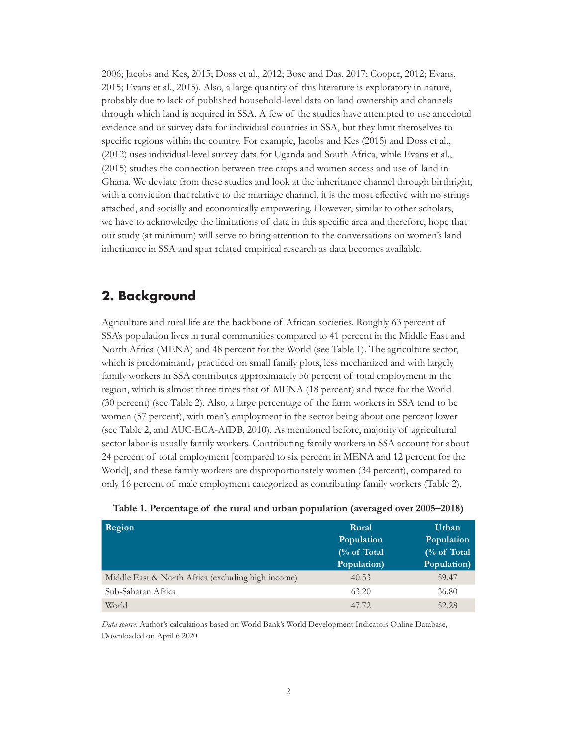<span id="page-5-0"></span>2006; Jacobs and Kes, 2015; Doss et al., 2012; Bose and Das, 2017; Cooper, 2012; Evans, 2015; Evans et al., 2015). Also, a large quantity of this literature is exploratory in nature, probably due to lack of published household-level data on land ownership and channels through which land is acquired in SSA. A few of the studies have attempted to use anecdotal evidence and or survey data for individual countries in SSA, but they limit themselves to specific regions within the country. For example, Jacobs and Kes (2015) and Doss et al., (2012) uses individual-level survey data for Uganda and South Africa, while Evans et al., (2015) studies the connection between tree crops and women access and use of land in Ghana. We deviate from these studies and look at the inheritance channel through birthright, with a conviction that relative to the marriage channel, it is the most effective with no strings attached, and socially and economically empowering. However, similar to other scholars, we have to acknowledge the limitations of data in this specific area and therefore, hope that our study (at minimum) will serve to bring attention to the conversations on women's land inheritance in SSA and spur related empirical research as data becomes available.

## **2. Background**

Agriculture and rural life are the backbone of African societies. Roughly 63 percent of SSA's population lives in rural communities compared to 41 percent in the Middle East and North Africa (MENA) and 48 percent for the World (see Table 1). The agriculture sector, which is predominantly practiced on small family plots, less mechanized and with largely family workers in SSA contributes approximately 56 percent of total employment in the region, which is almost three times that of MENA (18 percent) and twice for the World (30 percent) (see Table 2). Also, a large percentage of the farm workers in SSA tend to be women (57 percent), with men's employment in the sector being about one percent lower (see Table 2, and AUC-ECA-AfDB, 2010). As mentioned before, majority of agricultural sector labor is usually family workers. Contributing family workers in SSA account for about 24 percent of total employment [compared to six percent in MENA and 12 percent for the World], and these family workers are disproportionately women (34 percent), compared to only 16 percent of male employment categorized as contributing family workers (Table 2).

| Region                                             | Rural       | Urban       |
|----------------------------------------------------|-------------|-------------|
|                                                    | Population  | Population  |
|                                                    | (% of Total | (% of Total |
|                                                    | Population) | Population) |
| Middle East & North Africa (excluding high income) | 40.53       | 59.47       |
| Sub-Saharan Africa                                 | 63.20       | 36.80       |
| World                                              | 47.72       | 52.28       |

|  |  |  | Table 1. Percentage of the rural and urban population (averaged over 2005–2018) |
|--|--|--|---------------------------------------------------------------------------------|
|--|--|--|---------------------------------------------------------------------------------|

*Data source:* Author's calculations based on World Bank's World Development Indicators Online Database, Downloaded on April 6 2020.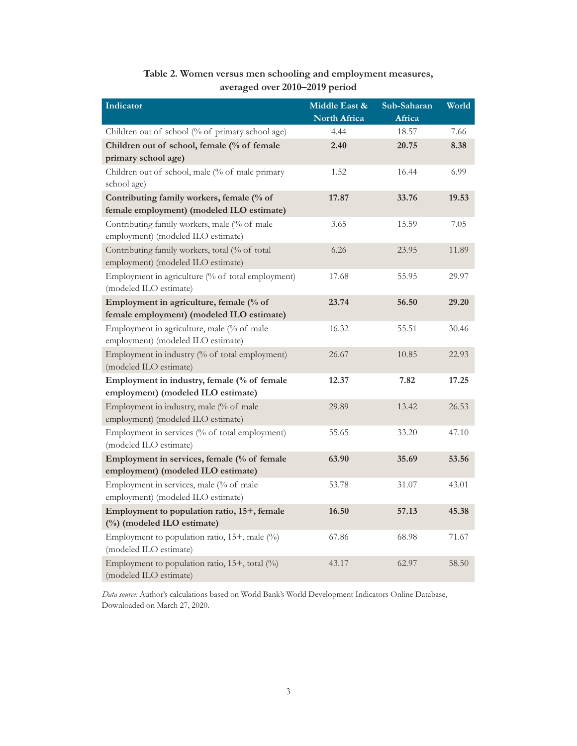<span id="page-6-0"></span>

| Indicator                                                                              | Middle East & | Sub-Saharan | World |
|----------------------------------------------------------------------------------------|---------------|-------------|-------|
|                                                                                        | North Africa  | Africa      |       |
| Children out of school (% of primary school age)                                       | 4.44          | 18.57       | 7.66  |
| Children out of school, female (% of female                                            | 2.40          | 20.75       | 8.38  |
| primary school age)                                                                    |               |             |       |
| Children out of school, male (% of male primary<br>school age)                         | 1.52          | 16.44       | 6.99  |
| Contributing family workers, female (% of<br>female employment) (modeled ILO estimate) | 17.87         | 33.76       | 19.53 |
| Contributing family workers, male (% of male<br>employment) (modeled ILO estimate)     | 3.65          | 15.59       | 7.05  |
| Contributing family workers, total (% of total<br>employment) (modeled ILO estimate)   | 6.26          | 23.95       | 11.89 |
| Employment in agriculture (% of total employment)<br>(modeled ILO estimate)            | 17.68         | 55.95       | 29.97 |
| Employment in agriculture, female (% of                                                | 23.74         | 56.50       | 29.20 |
| female employment) (modeled ILO estimate)                                              |               |             |       |
| Employment in agriculture, male (% of male<br>employment) (modeled ILO estimate)       | 16.32         | 55.51       | 30.46 |
| Employment in industry (% of total employment)<br>(modeled ILO estimate)               | 26.67         | 10.85       | 22.93 |
| Employment in industry, female (% of female<br>employment) (modeled ILO estimate)      | 12.37         | 7.82        | 17.25 |
| Employment in industry, male (% of male<br>employment) (modeled ILO estimate)          | 29.89         | 13.42       | 26.53 |
| Employment in services (% of total employment)<br>(modeled ILO estimate)               | 55.65         | 33.20       | 47.10 |
| Employment in services, female (% of female<br>employment) (modeled ILO estimate)      | 63.90         | 35.69       | 53.56 |
| Employment in services, male (% of male<br>employment) (modeled ILO estimate)          | 53.78         | 31.07       | 43.01 |
| Employment to population ratio, 15+, female                                            | 16.50         | 57.13       | 45.38 |
| (%) (modeled ILO estimate)                                                             |               |             |       |
| Employment to population ratio, $15+$ , male $(\%)$<br>(modeled ILO estimate)          | 67.86         | 68.98       | 71.67 |
| Employment to population ratio, 15+, total (%)<br>(modeled ILO estimate)               | 43.17         | 62.97       | 58.50 |

## **Table 2. Women versus men schooling and employment measures, averaged over 2010–2019 period**

*Data source:* Author's calculations based on World Bank's World Development Indicators Online Database, Downloaded on March 27, 2020.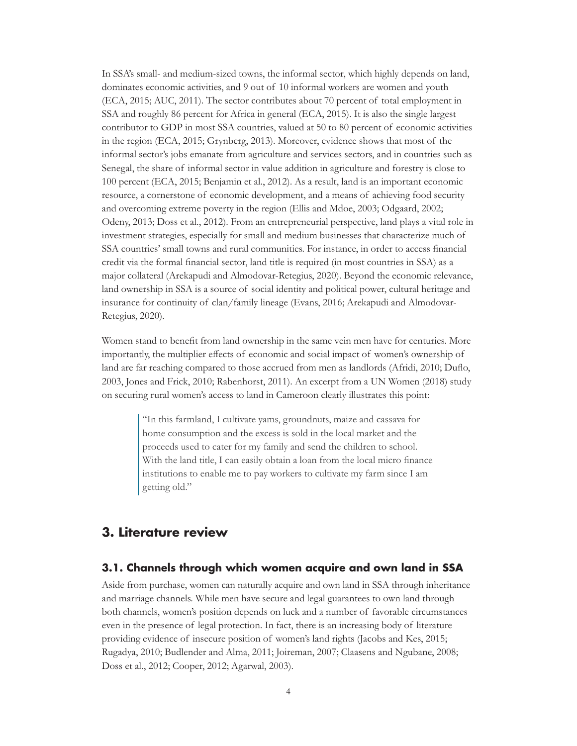<span id="page-7-0"></span>In SSA's small- and medium-sized towns, the informal sector, which highly depends on land, dominates economic activities, and 9 out of 10 informal workers are women and youth (ECA, 2015; AUC, 2011). The sector contributes about 70 percent of total employment in SSA and roughly 86 percent for Africa in general (ECA, 2015). It is also the single largest contributor to GDP in most SSA countries, valued at 50 to 80 percent of economic activities in the region (ECA, 2015; Grynberg, 2013). Moreover, evidence shows that most of the informal sector's jobs emanate from agriculture and services sectors, and in countries such as Senegal, the share of informal sector in value addition in agriculture and forestry is close to 100 percent (ECA, 2015; Benjamin et al., 2012). As a result, land is an important economic resource, a cornerstone of economic development, and a means of achieving food security and overcoming extreme poverty in the region (Ellis and Mdoe, 2003; Odgaard, 2002; Odeny, 2013; Doss et al., 2012). From an entrepreneurial perspective, land plays a vital role in investment strategies, especially for small and medium businesses that characterize much of SSA countries' small towns and rural communities. For instance, in order to access financial credit via the formal financial sector, land title is required (in most countries in SSA) as a major collateral (Arekapudi and Almodovar-Retegius, 2020). Beyond the economic relevance, land ownership in SSA is a source of social identity and political power, cultural heritage and insurance for continuity of clan/family lineage (Evans, 2016; Arekapudi and Almodovar-Retegius, 2020).

Women stand to benefit from land ownership in the same vein men have for centuries. More importantly, the multiplier effects of economic and social impact of women's ownership of land are far reaching compared to those accrued from men as landlords (Afridi, 2010; Duflo, 2003, Jones and Frick, 2010; Rabenhorst, 2011). An excerpt from a UN Women (2018) study on securing rural women's access to land in Cameroon clearly illustrates this point:

> "In this farmland, I cultivate yams, groundnuts, maize and cassava for home consumption and the excess is sold in the local market and the proceeds used to cater for my family and send the children to school. With the land title, I can easily obtain a loan from the local micro finance institutions to enable me to pay workers to cultivate my farm since I am getting old."

## **3. Literature review**

#### **3.1. Channels through which women acquire and own land in SSA**

Aside from purchase, women can naturally acquire and own land in SSA through inheritance and marriage channels. While men have secure and legal guarantees to own land through both channels, women's position depends on luck and a number of favorable circumstances even in the presence of legal protection. In fact, there is an increasing body of literature providing evidence of insecure position of women's land rights (Jacobs and Kes, 2015; Rugadya, 2010; Budlender and Alma, 2011; Joireman, 2007; Claasens and Ngubane, 2008; Doss et al., 2012; Cooper, 2012; Agarwal, 2003).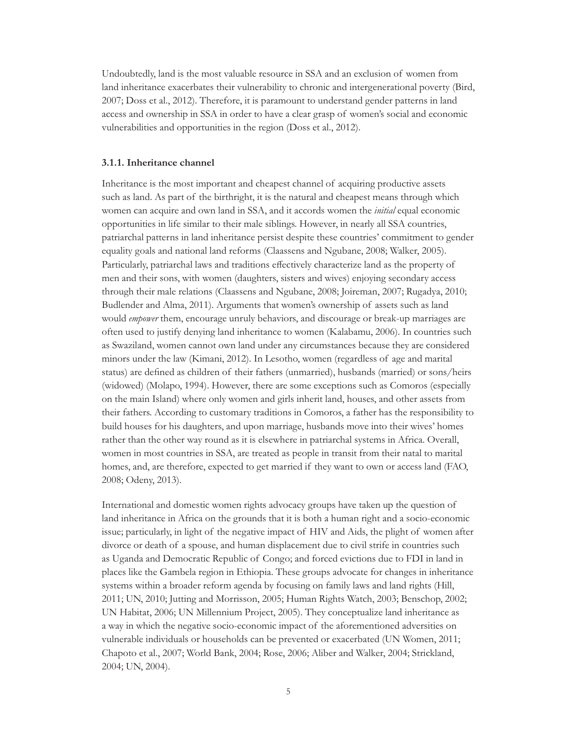Undoubtedly, land is the most valuable resource in SSA and an exclusion of women from land inheritance exacerbates their vulnerability to chronic and intergenerational poverty (Bird, 2007; Doss et al., 2012). Therefore, it is paramount to understand gender patterns in land access and ownership in SSA in order to have a clear grasp of women's social and economic vulnerabilities and opportunities in the region (Doss et al., 2012).

#### **3.1.1. Inheritance channel**

Inheritance is the most important and cheapest channel of acquiring productive assets such as land. As part of the birthright, it is the natural and cheapest means through which women can acquire and own land in SSA, and it accords women the *initial* equal economic opportunities in life similar to their male siblings. However, in nearly all SSA countries, patriarchal patterns in land inheritance persist despite these countries' commitment to gender equality goals and national land reforms (Claassens and Ngubane, 2008; Walker, 2005). Particularly, patriarchal laws and traditions effectively characterize land as the property of men and their sons, with women (daughters, sisters and wives) enjoying secondary access through their male relations (Claassens and Ngubane, 2008; Joireman, 2007; Rugadya, 2010; Budlender and Alma, 2011). Arguments that women's ownership of assets such as land would *empower* them, encourage unruly behaviors, and discourage or break-up marriages are often used to justify denying land inheritance to women (Kalabamu, 2006). In countries such as Swaziland, women cannot own land under any circumstances because they are considered minors under the law (Kimani, 2012). In Lesotho, women (regardless of age and marital status) are defined as children of their fathers (unmarried), husbands (married) or sons/heirs (widowed) (Molapo, 1994). However, there are some exceptions such as Comoros (especially on the main Island) where only women and girls inherit land, houses, and other assets from their fathers. According to customary traditions in Comoros, a father has the responsibility to build houses for his daughters, and upon marriage, husbands move into their wives' homes rather than the other way round as it is elsewhere in patriarchal systems in Africa. Overall, women in most countries in SSA, are treated as people in transit from their natal to marital homes, and, are therefore, expected to get married if they want to own or access land (FAO, 2008; Odeny, 2013).

International and domestic women rights advocacy groups have taken up the question of land inheritance in Africa on the grounds that it is both a human right and a socio-economic issue; particularly, in light of the negative impact of HIV and Aids, the plight of women after divorce or death of a spouse, and human displacement due to civil strife in countries such as Uganda and Democratic Republic of Congo; and forced evictions due to FDI in land in places like the Gambela region in Ethiopia. These groups advocate for changes in inheritance systems within a broader reform agenda by focusing on family laws and land rights (Hill, 2011; UN, 2010; Jutting and Morrisson, 2005; Human Rights Watch, 2003; Benschop, 2002; UN Habitat, 2006; UN Millennium Project, 2005). They conceptualize land inheritance as a way in which the negative socio-economic impact of the aforementioned adversities on vulnerable individuals or households can be prevented or exacerbated (UN Women, 2011; Chapoto et al., 2007; World Bank, 2004; Rose, 2006; Aliber and Walker, 2004; Strickland, 2004; UN, 2004).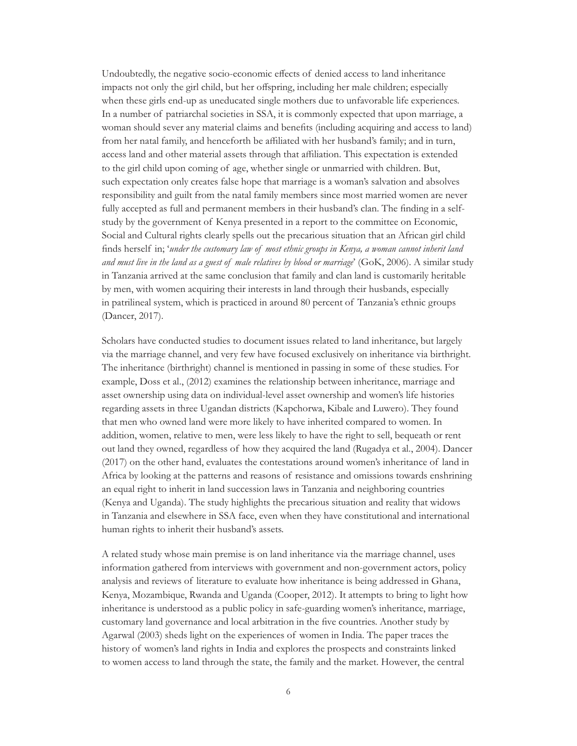Undoubtedly, the negative socio-economic effects of denied access to land inheritance impacts not only the girl child, but her offspring, including her male children; especially when these girls end-up as uneducated single mothers due to unfavorable life experiences. In a number of patriarchal societies in SSA, it is commonly expected that upon marriage, a woman should sever any material claims and benefits (including acquiring and access to land) from her natal family, and henceforth be affiliated with her husband's family; and in turn, access land and other material assets through that affiliation. This expectation is extended to the girl child upon coming of age, whether single or unmarried with children. But, such expectation only creates false hope that marriage is a woman's salvation and absolves responsibility and guilt from the natal family members since most married women are never fully accepted as full and permanent members in their husband's clan. The finding in a selfstudy by the government of Kenya presented in a report to the committee on Economic, Social and Cultural rights clearly spells out the precarious situation that an African girl child finds herself in; '*under the customary law of most ethnic groups in Kenya, a woman cannot inherit land and must live in the land as a guest of male relatives by blood or marriage*' (GoK, 2006). A similar study in Tanzania arrived at the same conclusion that family and clan land is customarily heritable by men, with women acquiring their interests in land through their husbands, especially in patrilineal system, which is practiced in around 80 percent of Tanzania's ethnic groups (Dancer, 2017).

Scholars have conducted studies to document issues related to land inheritance, but largely via the marriage channel, and very few have focused exclusively on inheritance via birthright. The inheritance (birthright) channel is mentioned in passing in some of these studies. For example, Doss et al., (2012) examines the relationship between inheritance, marriage and asset ownership using data on individual-level asset ownership and women's life histories regarding assets in three Ugandan districts (Kapchorwa, Kibale and Luwero). They found that men who owned land were more likely to have inherited compared to women. In addition, women, relative to men, were less likely to have the right to sell, bequeath or rent out land they owned, regardless of how they acquired the land (Rugadya et al., 2004). Dancer (2017) on the other hand, evaluates the contestations around women's inheritance of land in Africa by looking at the patterns and reasons of resistance and omissions towards enshrining an equal right to inherit in land succession laws in Tanzania and neighboring countries (Kenya and Uganda). The study highlights the precarious situation and reality that widows in Tanzania and elsewhere in SSA face, even when they have constitutional and international human rights to inherit their husband's assets.

A related study whose main premise is on land inheritance via the marriage channel, uses information gathered from interviews with government and non-government actors, policy analysis and reviews of literature to evaluate how inheritance is being addressed in Ghana, Kenya, Mozambique, Rwanda and Uganda (Cooper, 2012). It attempts to bring to light how inheritance is understood as a public policy in safe-guarding women's inheritance, marriage, customary land governance and local arbitration in the five countries. Another study by Agarwal (2003) sheds light on the experiences of women in India. The paper traces the history of women's land rights in India and explores the prospects and constraints linked to women access to land through the state, the family and the market. However, the central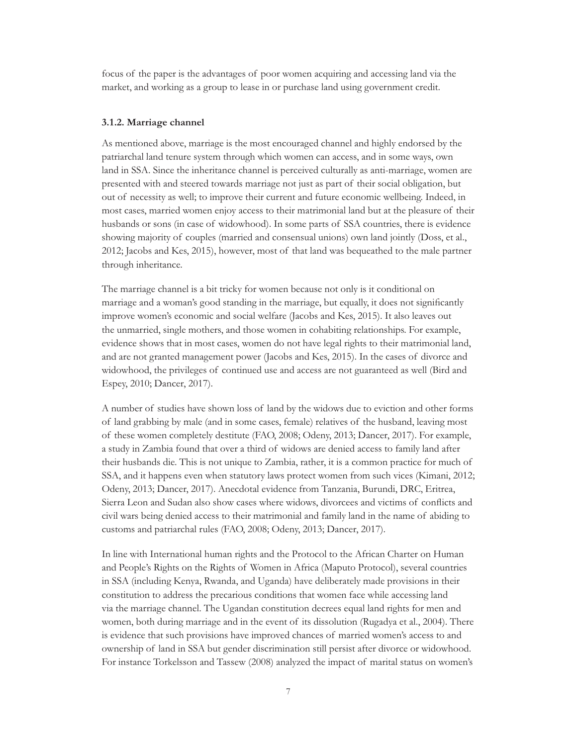focus of the paper is the advantages of poor women acquiring and accessing land via the market, and working as a group to lease in or purchase land using government credit.

#### **3.1.2. Marriage channel**

As mentioned above, marriage is the most encouraged channel and highly endorsed by the patriarchal land tenure system through which women can access, and in some ways, own land in SSA. Since the inheritance channel is perceived culturally as anti-marriage, women are presented with and steered towards marriage not just as part of their social obligation, but out of necessity as well; to improve their current and future economic wellbeing. Indeed, in most cases, married women enjoy access to their matrimonial land but at the pleasure of their husbands or sons (in case of widowhood). In some parts of SSA countries, there is evidence showing majority of couples (married and consensual unions) own land jointly (Doss, et al., 2012; Jacobs and Kes, 2015), however, most of that land was bequeathed to the male partner through inheritance.

The marriage channel is a bit tricky for women because not only is it conditional on marriage and a woman's good standing in the marriage, but equally, it does not significantly improve women's economic and social welfare (Jacobs and Kes, 2015). It also leaves out the unmarried, single mothers, and those women in cohabiting relationships. For example, evidence shows that in most cases, women do not have legal rights to their matrimonial land, and are not granted management power (Jacobs and Kes, 2015). In the cases of divorce and widowhood, the privileges of continued use and access are not guaranteed as well (Bird and Espey, 2010; Dancer, 2017).

A number of studies have shown loss of land by the widows due to eviction and other forms of land grabbing by male (and in some cases, female) relatives of the husband, leaving most of these women completely destitute (FAO, 2008; Odeny, 2013; Dancer, 2017). For example, a study in Zambia found that over a third of widows are denied access to family land after their husbands die. This is not unique to Zambia, rather, it is a common practice for much of SSA, and it happens even when statutory laws protect women from such vices (Kimani, 2012; Odeny, 2013; Dancer, 2017). Anecdotal evidence from Tanzania, Burundi, DRC, Eritrea, Sierra Leon and Sudan also show cases where widows, divorcees and victims of conflicts and civil wars being denied access to their matrimonial and family land in the name of abiding to customs and patriarchal rules (FAO, 2008; Odeny, 2013; Dancer, 2017).

In line with International human rights and the Protocol to the African Charter on Human and People's Rights on the Rights of Women in Africa (Maputo Protocol), several countries in SSA (including Kenya, Rwanda, and Uganda) have deliberately made provisions in their constitution to address the precarious conditions that women face while accessing land via the marriage channel. The Ugandan constitution decrees equal land rights for men and women, both during marriage and in the event of its dissolution (Rugadya et al., 2004). There is evidence that such provisions have improved chances of married women's access to and ownership of land in SSA but gender discrimination still persist after divorce or widowhood. For instance Torkelsson and Tassew (2008) analyzed the impact of marital status on women's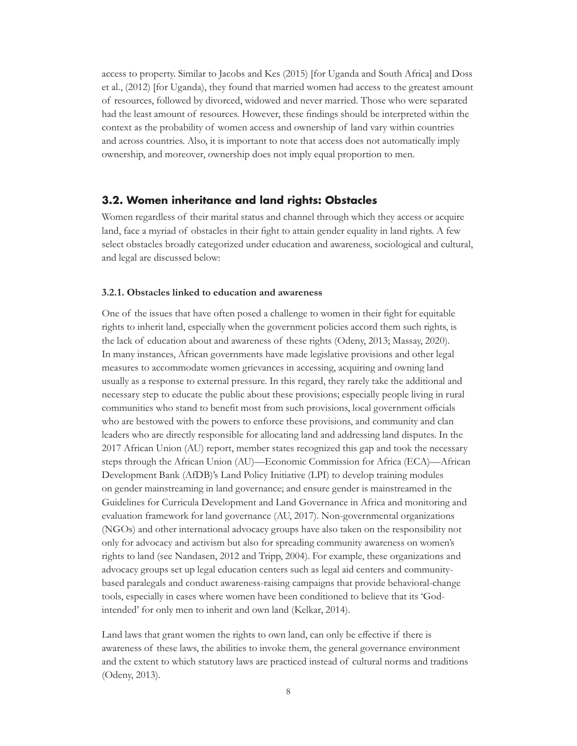<span id="page-11-0"></span>access to property. Similar to Jacobs and Kes (2015) [for Uganda and South Africa] and Doss et al., (2012) [for Uganda), they found that married women had access to the greatest amount of resources, followed by divorced, widowed and never married. Those who were separated had the least amount of resources. However, these findings should be interpreted within the context as the probability of women access and ownership of land vary within countries and across countries. Also, it is important to note that access does not automatically imply ownership, and moreover, ownership does not imply equal proportion to men.

#### **3.2. Women inheritance and land rights: Obstacles**

Women regardless of their marital status and channel through which they access or acquire land, face a myriad of obstacles in their fight to attain gender equality in land rights. A few select obstacles broadly categorized under education and awareness, sociological and cultural, and legal are discussed below:

#### **3.2.1. Obstacles linked to education and awareness**

One of the issues that have often posed a challenge to women in their fight for equitable rights to inherit land, especially when the government policies accord them such rights, is the lack of education about and awareness of these rights (Odeny, 2013; Massay, 2020). In many instances, African governments have made legislative provisions and other legal measures to accommodate women grievances in accessing, acquiring and owning land usually as a response to external pressure. In this regard, they rarely take the additional and necessary step to educate the public about these provisions; especially people living in rural communities who stand to benefit most from such provisions, local government officials who are bestowed with the powers to enforce these provisions, and community and clan leaders who are directly responsible for allocating land and addressing land disputes. In the 2017 African Union (AU) report, member states recognized this gap and took the necessary steps through the African Union (AU)—Economic Commission for Africa (ECA)—African Development Bank (AfDB)'s Land Policy Initiative (LPI) to develop training modules on gender mainstreaming in land governance; and ensure gender is mainstreamed in the Guidelines for Curricula Development and Land Governance in Africa and monitoring and evaluation framework for land governance (AU, 2017). Non-governmental organizations (NGOs) and other international advocacy groups have also taken on the responsibility not only for advocacy and activism but also for spreading community awareness on women's rights to land (see Nandasen, 2012 and Tripp, 2004). For example, these organizations and advocacy groups set up legal education centers such as legal aid centers and communitybased paralegals and conduct awareness-raising campaigns that provide behavioral-change tools, especially in cases where women have been conditioned to believe that its 'Godintended' for only men to inherit and own land (Kelkar, 2014).

Land laws that grant women the rights to own land, can only be effective if there is awareness of these laws, the abilities to invoke them, the general governance environment and the extent to which statutory laws are practiced instead of cultural norms and traditions (Odeny, 2013).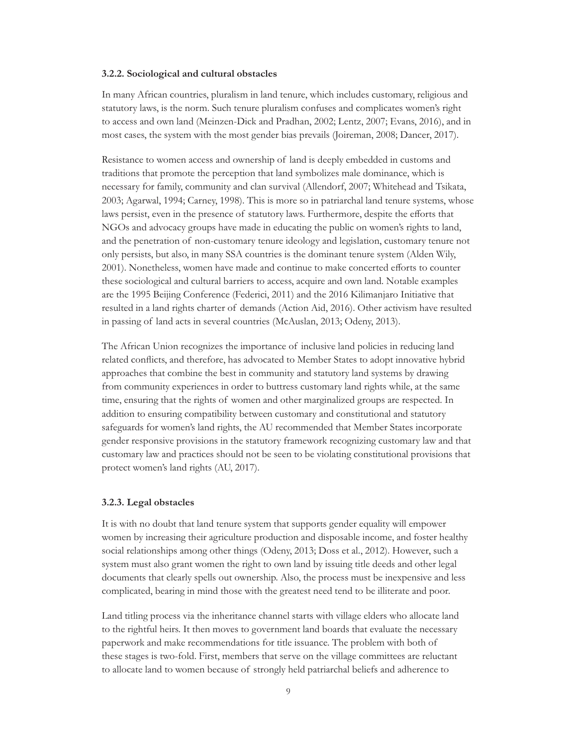#### **3.2.2. Sociological and cultural obstacles**

In many African countries, pluralism in land tenure, which includes customary, religious and statutory laws, is the norm. Such tenure pluralism confuses and complicates women's right to access and own land (Meinzen-Dick and Pradhan, 2002; Lentz, 2007; Evans, 2016), and in most cases, the system with the most gender bias prevails (Joireman, 2008; Dancer, 2017).

Resistance to women access and ownership of land is deeply embedded in customs and traditions that promote the perception that land symbolizes male dominance, which is necessary for family, community and clan survival (Allendorf, 2007; Whitehead and Tsikata, 2003; Agarwal, 1994; Carney, 1998). This is more so in patriarchal land tenure systems, whose laws persist, even in the presence of statutory laws. Furthermore, despite the efforts that NGOs and advocacy groups have made in educating the public on women's rights to land, and the penetration of non-customary tenure ideology and legislation, customary tenure not only persists, but also, in many SSA countries is the dominant tenure system (Alden Wily, 2001). Nonetheless, women have made and continue to make concerted efforts to counter these sociological and cultural barriers to access, acquire and own land. Notable examples are the 1995 Beijing Conference (Federici, 2011) and the 2016 Kilimanjaro Initiative that resulted in a land rights charter of demands (Action Aid, 2016). Other activism have resulted in passing of land acts in several countries (McAuslan, 2013; Odeny, 2013).

The African Union recognizes the importance of inclusive land policies in reducing land related conflicts, and therefore, has advocated to Member States to adopt innovative hybrid approaches that combine the best in community and statutory land systems by drawing from community experiences in order to buttress customary land rights while, at the same time, ensuring that the rights of women and other marginalized groups are respected. In addition to ensuring compatibility between customary and constitutional and statutory safeguards for women's land rights, the AU recommended that Member States incorporate gender responsive provisions in the statutory framework recognizing customary law and that customary law and practices should not be seen to be violating constitutional provisions that protect women's land rights (AU, 2017).

#### **3.2.3. Legal obstacles**

It is with no doubt that land tenure system that supports gender equality will empower women by increasing their agriculture production and disposable income, and foster healthy social relationships among other things (Odeny, 2013; Doss et al., 2012). However, such a system must also grant women the right to own land by issuing title deeds and other legal documents that clearly spells out ownership. Also, the process must be inexpensive and less complicated, bearing in mind those with the greatest need tend to be illiterate and poor.

Land titling process via the inheritance channel starts with village elders who allocate land to the rightful heirs. It then moves to government land boards that evaluate the necessary paperwork and make recommendations for title issuance. The problem with both of these stages is two-fold. First, members that serve on the village committees are reluctant to allocate land to women because of strongly held patriarchal beliefs and adherence to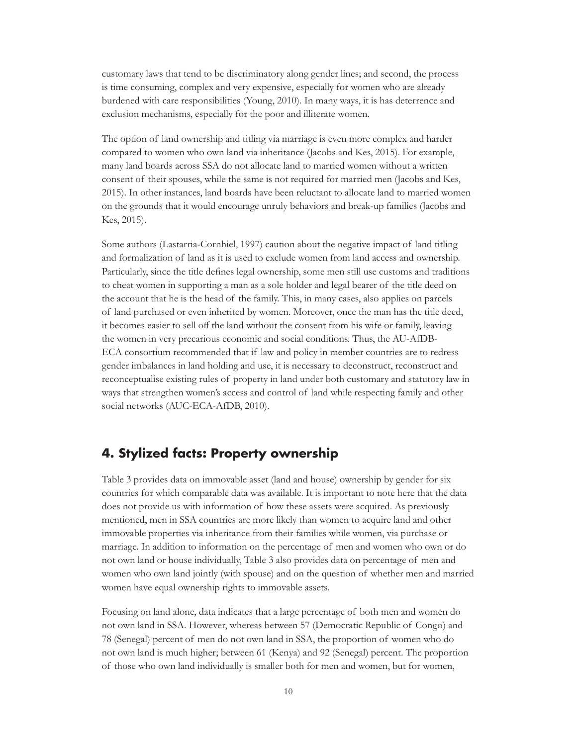<span id="page-13-0"></span>customary laws that tend to be discriminatory along gender lines; and second, the process is time consuming, complex and very expensive, especially for women who are already burdened with care responsibilities (Young, 2010). In many ways, it is has deterrence and exclusion mechanisms, especially for the poor and illiterate women.

The option of land ownership and titling via marriage is even more complex and harder compared to women who own land via inheritance (Jacobs and Kes, 2015). For example, many land boards across SSA do not allocate land to married women without a written consent of their spouses, while the same is not required for married men (Jacobs and Kes, 2015). In other instances, land boards have been reluctant to allocate land to married women on the grounds that it would encourage unruly behaviors and break-up families (Jacobs and Kes, 2015).

Some authors (Lastarria-Cornhiel, 1997) caution about the negative impact of land titling and formalization of land as it is used to exclude women from land access and ownership. Particularly, since the title defines legal ownership, some men still use customs and traditions to cheat women in supporting a man as a sole holder and legal bearer of the title deed on the account that he is the head of the family. This, in many cases, also applies on parcels of land purchased or even inherited by women. Moreover, once the man has the title deed, it becomes easier to sell off the land without the consent from his wife or family, leaving the women in very precarious economic and social conditions. Thus, the AU-AfDB-ECA consortium recommended that if law and policy in member countries are to redress gender imbalances in land holding and use, it is necessary to deconstruct, reconstruct and reconceptualise existing rules of property in land under both customary and statutory law in ways that strengthen women's access and control of land while respecting family and other social networks (AUC-ECA-AfDB, 2010).

## **4. Stylized facts: Property ownership**

Table 3 provides data on immovable asset (land and house) ownership by gender for six countries for which comparable data was available. It is important to note here that the data does not provide us with information of how these assets were acquired. As previously mentioned, men in SSA countries are more likely than women to acquire land and other immovable properties via inheritance from their families while women, via purchase or marriage. In addition to information on the percentage of men and women who own or do not own land or house individually, Table 3 also provides data on percentage of men and women who own land jointly (with spouse) and on the question of whether men and married women have equal ownership rights to immovable assets.

Focusing on land alone, data indicates that a large percentage of both men and women do not own land in SSA. However, whereas between 57 (Democratic Republic of Congo) and 78 (Senegal) percent of men do not own land in SSA, the proportion of women who do not own land is much higher; between 61 (Kenya) and 92 (Senegal) percent. The proportion of those who own land individually is smaller both for men and women, but for women,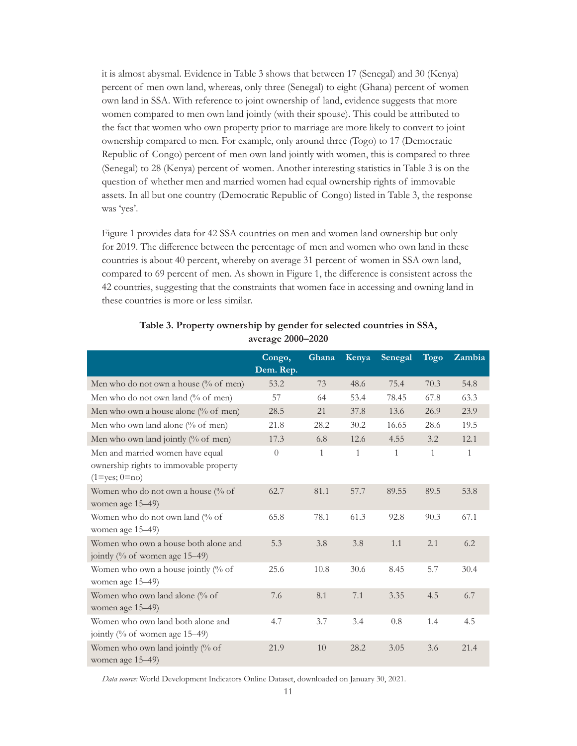<span id="page-14-0"></span>it is almost abysmal. Evidence in Table 3 shows that between 17 (Senegal) and 30 (Kenya) percent of men own land, whereas, only three (Senegal) to eight (Ghana) percent of women own land in SSA. With reference to joint ownership of land, evidence suggests that more women compared to men own land jointly (with their spouse). This could be attributed to the fact that women who own property prior to marriage are more likely to convert to joint ownership compared to men. For example, only around three (Togo) to 17 (Democratic Republic of Congo) percent of men own land jointly with women, this is compared to three (Senegal) to 28 (Kenya) percent of women. Another interesting statistics in Table 3 is on the question of whether men and married women had equal ownership rights of immovable assets. In all but one country (Democratic Republic of Congo) listed in Table 3, the response was 'yes'.

Figure 1 provides data for 42 SSA countries on men and women land ownership but only for 2019. The difference between the percentage of men and women who own land in these countries is about 40 percent, whereby on average 31 percent of women in SSA own land, compared to 69 percent of men. As shown in Figure 1, the difference is consistent across the 42 countries, suggesting that the constraints that women face in accessing and owning land in these countries is more or less similar.

|                                                                                                   | Congo,<br>Dem. Rep. | Ghana        | Kenya        | Senegal      | <b>Togo</b>  | Zambia |
|---------------------------------------------------------------------------------------------------|---------------------|--------------|--------------|--------------|--------------|--------|
| Men who do not own a house (% of men)                                                             | 53.2                | 73           | 48.6         | 75.4         | 70.3         | 54.8   |
| Men who do not own land (% of men)                                                                | 57                  | 64           | 53.4         | 78.45        | 67.8         | 63.3   |
| Men who own a house alone (% of men)                                                              | 28.5                | 21           | 37.8         | 13.6         | 26.9         | 23.9   |
| Men who own land alone (% of men)                                                                 | 21.8                | 28.2         | 30.2         | 16.65        | 28.6         | 19.5   |
| Men who own land jointly (% of men)                                                               | 17.3                | 6.8          | 12.6         | 4.55         | 3.2          | 12.1   |
| Men and married women have equal<br>ownership rights to immovable property<br>$(1 = yes; 0 = no)$ | $\overline{0}$      | $\mathbf{1}$ | $\mathbf{1}$ | $\mathbf{1}$ | $\mathbf{1}$ | 1      |
| Women who do not own a house (% of<br>women age 15-49)                                            | 62.7                | 81.1         | 57.7         | 89.55        | 89.5         | 53.8   |
| Women who do not own land (% of<br>women age 15-49)                                               | 65.8                | 78.1         | 61.3         | 92.8         | 90.3         | 67.1   |
| Women who own a house both alone and<br>jointly (% of women age 15–49)                            | 5.3                 | 3.8          | 3.8          | 1.1          | 2.1          | 6.2    |
| Women who own a house jointly (% of<br>women age 15-49)                                           | 25.6                | 10.8         | 30.6         | 8.45         | 5.7          | 30.4   |
| Women who own land alone (% of<br>women age 15-49)                                                | 7.6                 | 8.1          | 7.1          | 3.35         | 4.5          | 6.7    |
| Women who own land both alone and<br>jointly (% of women age 15–49)                               | 4.7                 | 3.7          | 3.4          | 0.8          | 1.4          | 4.5    |
| Women who own land jointly (% of<br>women age 15-49)                                              | 21.9                | 10           | 28.2         | 3.05         | 3.6          | 21.4   |

#### **Table 3. Property ownership by gender for selected countries in SSA, average 2000–2020**

*Data source:* World Development Indicators Online Dataset, downloaded on January 30, 2021.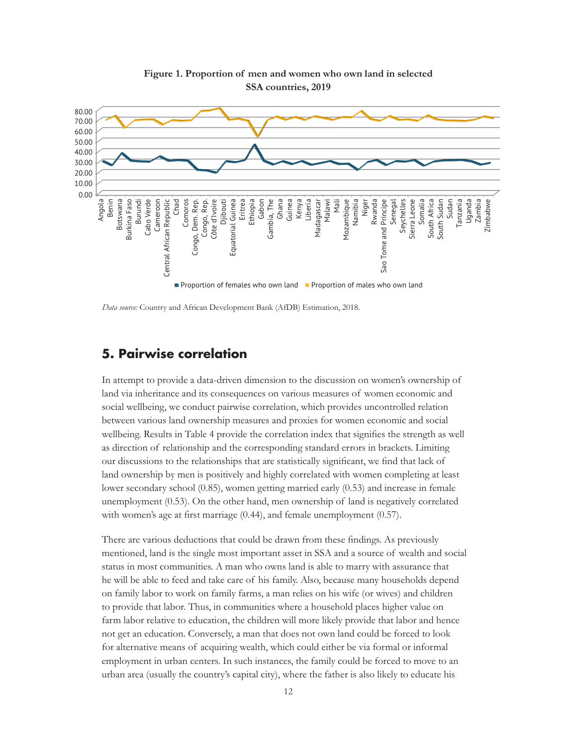<span id="page-15-0"></span>

**Figure 1. Proportion of men and women who own land in selected SSA countries, 2019**

*Data source:* Country and African Development Bank (AfDB) Estimation, 2018.

## **5. Pairwise correlation**

In attempt to provide a data-driven dimension to the discussion on women's ownership of land via inheritance and its consequences on various measures of women economic and social wellbeing, we conduct pairwise correlation, which provides uncontrolled relation between various land ownership measures and proxies for women economic and social wellbeing. Results in Table 4 provide the correlation index that signifies the strength as well as direction of relationship and the corresponding standard errors in brackets. Limiting our discussions to the relationships that are statistically significant, we find that lack of land ownership by men is positively and highly correlated with women completing at least lower secondary school (0.85), women getting married early (0.53) and increase in female unemployment (0.53). On the other hand, men ownership of land is negatively correlated with women's age at first marriage (0.44), and female unemployment (0.57).

There are various deductions that could be drawn from these findings. As previously mentioned, land is the single most important asset in SSA and a source of wealth and social status in most communities. A man who owns land is able to marry with assurance that he will be able to feed and take care of his family. Also, because many households depend on family labor to work on family farms, a man relies on his wife (or wives) and children to provide that labor. Thus, in communities where a household places higher value on farm labor relative to education, the children will more likely provide that labor and hence not get an education. Conversely, a man that does not own land could be forced to look for alternative means of acquiring wealth, which could either be via formal or informal employment in urban centers. In such instances, the family could be forced to move to an urban area (usually the country's capital city), where the father is also likely to educate his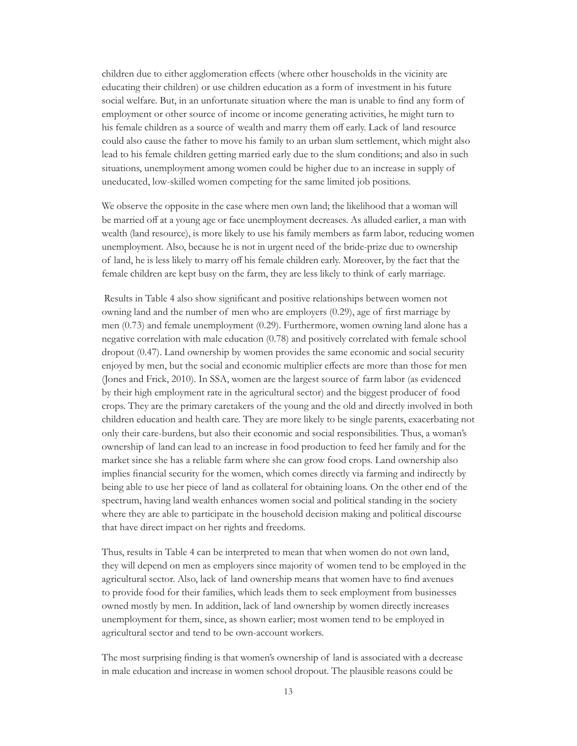children due to either agglomeration effects (where other households in the vicinity are educating their children) or use children education as a form of investment in his future social welfare. But, in an unfortunate situation where the man is unable to find any form of employment or other source of income or income generating activities, he might turn to his female children as a source of wealth and marry them off early. Lack of land resource could also cause the father to move his family to an urban slum settlement, which might also lead to his female children getting married early due to the slum conditions; and also in such situations, unemployment among women could be higher due to an increase in supply of uneducated, low-skilled women competing for the same limited job positions.

We observe the opposite in the case where men own land; the likelihood that a woman will be married off at a young age or face unemployment decreases. As alluded earlier, a man with wealth (land resource), is more likely to use his family members as farm labor, reducing women unemployment. Also, because he is not in urgent need of the bride-prize due to ownership of land, he is less likely to marry off his female children early. Moreover, by the fact that the female children are kept busy on the farm, they are less likely to think of early marriage.

 Results in Table 4 also show significant and positive relationships between women not owning land and the number of men who are employers (0.29), age of first marriage by men (0.73) and female unemployment (0.29). Furthermore, women owning land alone has a negative correlation with male education (0.78) and positively correlated with female school dropout (0.47). Land ownership by women provides the same economic and social security enjoyed by men, but the social and economic multiplier effects are more than those for men (Jones and Frick, 2010). In SSA, women are the largest source of farm labor (as evidenced by their high employment rate in the agricultural sector) and the biggest producer of food crops. They are the primary caretakers of the young and the old and directly involved in both children education and health care. They are more likely to be single parents, exacerbating not only their care-burdens, but also their economic and social responsibilities. Thus, a woman's ownership of land can lead to an increase in food production to feed her family and for the market since she has a reliable farm where she can grow food crops. Land ownership also implies financial security for the women, which comes directly via farming and indirectly by being able to use her piece of land as collateral for obtaining loans. On the other end of the spectrum, having land wealth enhances women social and political standing in the society where they are able to participate in the household decision making and political discourse that have direct impact on her rights and freedoms.

Thus, results in Table 4 can be interpreted to mean that when women do not own land, they will depend on men as employers since majority of women tend to be employed in the agricultural sector. Also, lack of land ownership means that women have to find avenues to provide food for their families, which leads them to seek employment from businesses owned mostly by men. In addition, lack of land ownership by women directly increases unemployment for them, since, as shown earlier; most women tend to be employed in agricultural sector and tend to be own-account workers.

The most surprising finding is that women's ownership of land is associated with a decrease in male education and increase in women school dropout. The plausible reasons could be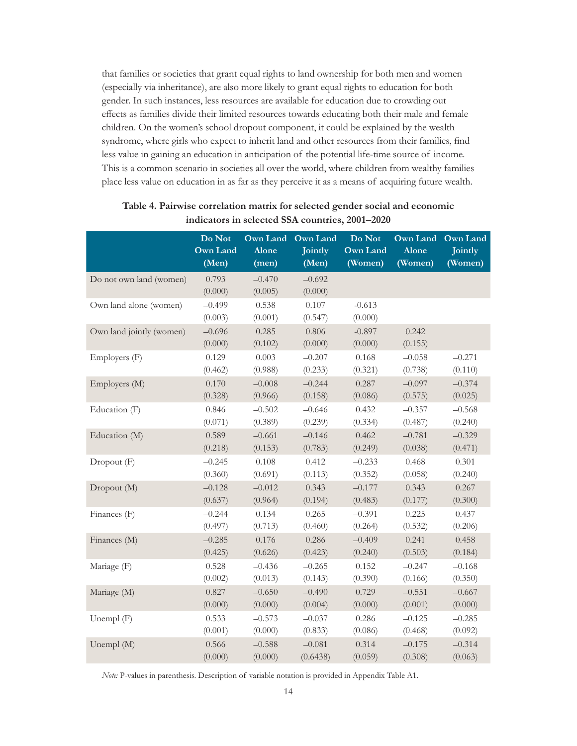<span id="page-17-0"></span>that families or societies that grant equal rights to land ownership for both men and women (especially via inheritance), are also more likely to grant equal rights to education for both gender. In such instances, less resources are available for education due to crowding out effects as families divide their limited resources towards educating both their male and female children. On the women's school dropout component, it could be explained by the wealth syndrome, where girls who expect to inherit land and other resources from their families, find less value in gaining an education in anticipation of the potential life-time source of income. This is a common scenario in societies all over the world, where children from wealthy families place less value on education in as far as they perceive it as a means of acquiring future wealth.

|                          | Do Not              | Own Land            | <b>Own Land</b>     | Do Not              | <b>Own Land</b>  | <b>Own Land</b> |
|--------------------------|---------------------|---------------------|---------------------|---------------------|------------------|-----------------|
|                          | <b>Own Land</b>     | Alone               | Jointly             | <b>Own Land</b>     | Alone            | Jointly         |
|                          | (Men)               | (men)               | (Men)               | (Women)             | (Women)          | (Women)         |
| Do not own land (women)  | 0.793<br>(0.000)    | $-0.470$<br>(0.005) | $-0.692$<br>(0.000) |                     |                  |                 |
| Own land alone (women)   | $-0.499$<br>(0.003) | 0.538<br>(0.001)    | 0.107<br>(0.547)    | $-0.613$<br>(0.000) |                  |                 |
| Own land jointly (women) | $-0.696$<br>(0.000) | 0.285<br>(0.102)    | 0.806<br>(0.000)    | $-0.897$<br>(0.000) | 0.242<br>(0.155) |                 |
| Employers (F)            | 0.129               | 0.003               | $-0.207$            | 0.168               | $-0.058$         | $-0.271$        |
|                          | (0.462)             | (0.988)             | (0.233)             | (0.321)             | (0.738)          | (0.110)         |
| Employers (M)            | 0.170               | $-0.008$            | $-0.244$            | 0.287               | $-0.097$         | $-0.374$        |
|                          | (0.328)             | (0.966)             | (0.158)             | (0.086)             | (0.575)          | (0.025)         |
| Education (F)            | 0.846               | $-0.502$            | $-0.646$            | 0.432               | $-0.357$         | $-0.568$        |
|                          | (0.071)             | (0.389)             | (0.239)             | (0.334)             | (0.487)          | (0.240)         |
| Education (M)            | 0.589               | $-0.661$            | $-0.146$            | 0.462               | $-0.781$         | $-0.329$        |
|                          | (0.218)             | (0.153)             | (0.783)             | (0.249)             | (0.038)          | (0.471)         |
| Dropout (F)              | $-0.245$            | 0.108               | 0.412               | $-0.233$            | 0.468            | 0.301           |
|                          | (0.360)             | (0.691)             | (0.113)             | (0.352)             | (0.058)          | (0.240)         |
| Dropout (M)              | $-0.128$            | $-0.012$            | 0.343               | $-0.177$            | 0.343            | 0.267           |
|                          | (0.637)             | (0.964)             | (0.194)             | (0.483)             | (0.177)          | (0.300)         |
| Finances (F)             | $-0.244$            | 0.134               | 0.265               | $-0.391$            | 0.225            | 0.437           |
|                          | (0.497)             | (0.713)             | (0.460)             | (0.264)             | (0.532)          | (0.206)         |
| Finances (M)             | $-0.285$            | 0.176               | 0.286               | $-0.409$            | 0.241            | 0.458           |
|                          | (0.425)             | (0.626)             | (0.423)             | (0.240)             | (0.503)          | (0.184)         |
| Mariage (F)              | 0.528               | $-0.436$            | $-0.265$            | 0.152               | $-0.247$         | $-0.168$        |
|                          | (0.002)             | (0.013)             | (0.143)             | (0.390)             | (0.166)          | (0.350)         |
| Mariage (M)              | 0.827               | $-0.650$            | $-0.490$            | 0.729               | $-0.551$         | $-0.667$        |
|                          | (0.000)             | (0.000)             | (0.004)             | (0.000)             | (0.001)          | (0.000)         |
| Unempl (F)               | 0.533               | $-0.573$            | $-0.037$            | 0.286               | $-0.125$         | $-0.285$        |
|                          | (0.001)             | (0.000)             | (0.833)             | (0.086)             | (0.468)          | (0.092)         |
| Unempl (M)               | 0.566               | $-0.588$            | $-0.081$            | 0.314               | $-0.175$         | $-0.314$        |
|                          | (0.000)             | (0.000)             | (0.6438)            | (0.059)             | (0.308)          | (0.063)         |

**Table 4. Pairwise correlation matrix for selected gender social and economic indicators in selected SSA countries, 2001–2020**

*Note:* P-values in parenthesis. Description of variable notation is provided in Appendix Table A1.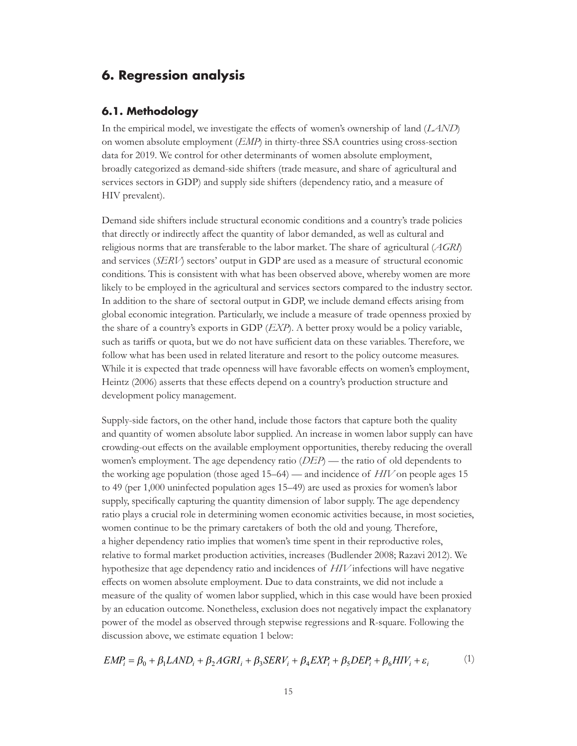## <span id="page-18-0"></span>**6. Regression analysis**

#### **6.1. Methodology**

In the empirical model, we investigate the effects of women's ownership of land (*LAND*) on women absolute employment (*EMP*) in thirty-three SSA countries using cross-section data for 2019. We control for other determinants of women absolute employment, broadly categorized as demand-side shifters (trade measure, and share of agricultural and services sectors in GDP) and supply side shifters (dependency ratio, and a measure of HIV prevalent).

Demand side shifters include structural economic conditions and a country's trade policies that directly or indirectly affect the quantity of labor demanded, as well as cultural and religious norms that are transferable to the labor market. The share of agricultural (*AGRI*) and services (*SERV*) sectors' output in GDP are used as a measure of structural economic conditions. This is consistent with what has been observed above, whereby women are more likely to be employed in the agricultural and services sectors compared to the industry sector. In addition to the share of sectoral output in GDP, we include demand effects arising from global economic integration. Particularly, we include a measure of trade openness proxied by the share of a country's exports in GDP (*EXP*). A better proxy would be a policy variable, such as tariffs or quota, but we do not have sufficient data on these variables. Therefore, we follow what has been used in related literature and resort to the policy outcome measures. While it is expected that trade openness will have favorable effects on women's employment, Heintz (2006) asserts that these effects depend on a country's production structure and development policy management.

Supply-side factors, on the other hand, include those factors that capture both the quality and quantity of women absolute labor supplied. An increase in women labor supply can have crowding-out effects on the available employment opportunities, thereby reducing the overall women's employment. The age dependency ratio (*DEP*) — the ratio of old dependents to the working age population (those aged 15–64) — and incidence of *HIV* on people ages 15 to 49 (per 1,000 uninfected population ages 15–49) are used as proxies for women's labor supply, specifically capturing the quantity dimension of labor supply. The age dependency ratio plays a crucial role in determining women economic activities because, in most societies, women continue to be the primary caretakers of both the old and young. Therefore, a higher dependency ratio implies that women's time spent in their reproductive roles, relative to formal market production activities, increases (Budlender 2008; Razavi 2012). We hypothesize that age dependency ratio and incidences of *HIV* infections will have negative effects on women absolute employment. Due to data constraints, we did not include a measure of the quality of women labor supplied, which in this case would have been proxied by an education outcome. Nonetheless, exclusion does not negatively impact the explanatory power of the model as observed through stepwise regressions and R-square. Following the discussion above, we estimate equation 1 below:

$$
EMP_i = \beta_0 + \beta_1 LAND_i + \beta_2 AGRI_i + \beta_3 SERV_i + \beta_4 EXP_i + \beta_5 DEP_i + \beta_6 HIV_i + \varepsilon_i
$$
 (1)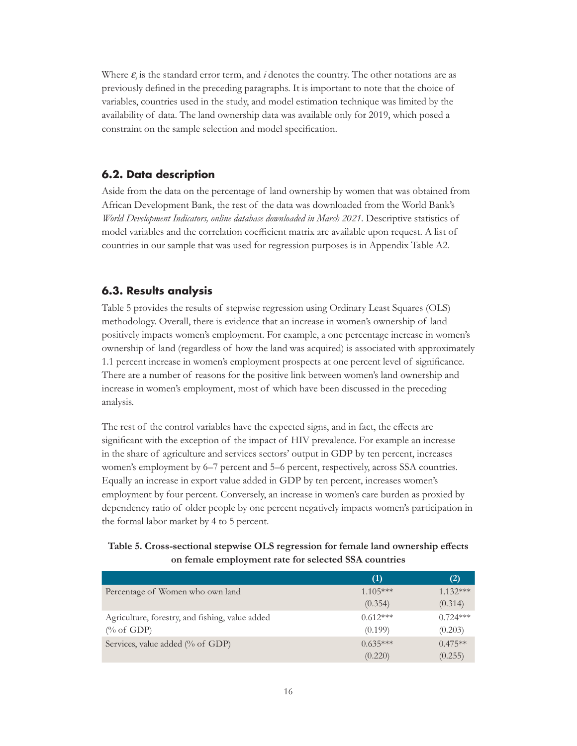<span id="page-19-0"></span>Where  $\varepsilon$ <sub>*i*</sub> is the standard error term, and *i* denotes the country. The other notations are as previously defined in the preceding paragraphs. It is important to note that the choice of variables, countries used in the study, and model estimation technique was limited by the availability of data. The land ownership data was available only for 2019, which posed a constraint on the sample selection and model specification.

#### **6.2. Data description**

Aside from the data on the percentage of land ownership by women that was obtained from African Development Bank, the rest of the data was downloaded from the World Bank's *World Development Indicators, online database downloaded in March 2021.* Descriptive statistics of model variables and the correlation coefficient matrix are available upon request. A list of countries in our sample that was used for regression purposes is in Appendix Table A2.

#### **6.3. Results analysis**

Table 5 provides the results of stepwise regression using Ordinary Least Squares (OLS) methodology. Overall, there is evidence that an increase in women's ownership of land positively impacts women's employment. For example, a one percentage increase in women's ownership of land (regardless of how the land was acquired) is associated with approximately 1.1 percent increase in women's employment prospects at one percent level of significance. There are a number of reasons for the positive link between women's land ownership and increase in women's employment, most of which have been discussed in the preceding analysis.

The rest of the control variables have the expected signs, and in fact, the effects are significant with the exception of the impact of HIV prevalence. For example an increase in the share of agriculture and services sectors' output in GDP by ten percent, increases women's employment by 6–7 percent and 5–6 percent, respectively, across SSA countries. Equally an increase in export value added in GDP by ten percent, increases women's employment by four percent. Conversely, an increase in women's care burden as proxied by dependency ratio of older people by one percent negatively impacts women's participation in the formal labor market by 4 to 5 percent.

#### **Table 5. Cross-sectional stepwise OLS regression for female land ownership effects on female employment rate for selected SSA countries**

|                                                 | (1)        | (2)        |
|-------------------------------------------------|------------|------------|
| Percentage of Women who own land                | $1.105***$ | $1.132***$ |
|                                                 | (0.354)    | (0.314)    |
| Agriculture, forestry, and fishing, value added | $0.612***$ | $0.724***$ |
| $\frac{\%}{\%}$ of GDP)                         | (0.199)    | (0.203)    |
| Services, value added (% of GDP)                | $0.635***$ | $0.475**$  |
|                                                 | (0.220)    | (0.255)    |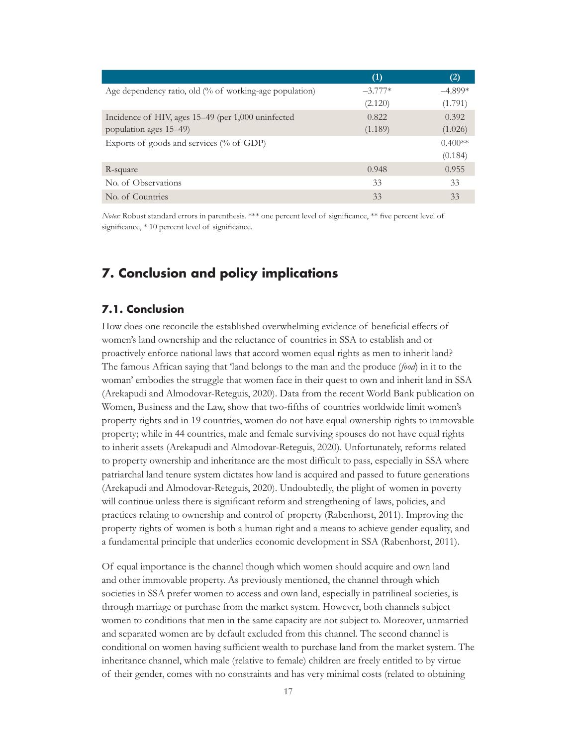<span id="page-20-0"></span>

|                                                                    | (1)       | (2)       |
|--------------------------------------------------------------------|-----------|-----------|
| Age dependency ratio, old $\frac{0}{6}$ of working-age population) | $-3.777*$ | $-4.899*$ |
|                                                                    | (2.120)   | (1.791)   |
| Incidence of HIV, ages 15–49 (per 1,000 uninfected                 | 0.822     | 0.392     |
| population ages 15–49)                                             | (1.189)   | (1.026)   |
| Exports of goods and services (% of GDP)                           |           | $0.400**$ |
|                                                                    |           | (0.184)   |
| R-square                                                           | 0.948     | 0.955     |
| No. of Observations                                                | 33        | 33        |
| No. of Countries                                                   | 33        | 33        |

*Notes:* Robust standard errors in parenthesis. \*\*\* one percent level of significance, \*\* five percent level of significance, \* 10 percent level of significance.

## **7. Conclusion and policy implications**

#### **7.1. Conclusion**

How does one reconcile the established overwhelming evidence of beneficial effects of women's land ownership and the reluctance of countries in SSA to establish and or proactively enforce national laws that accord women equal rights as men to inherit land? The famous African saying that 'land belongs to the man and the produce (*food*) in it to the woman' embodies the struggle that women face in their quest to own and inherit land in SSA (Arekapudi and Almodovar-Reteguis, 2020). Data from the recent World Bank publication on Women, Business and the Law, show that two-fifths of countries worldwide limit women's property rights and in 19 countries, women do not have equal ownership rights to immovable property; while in 44 countries, male and female surviving spouses do not have equal rights to inherit assets (Arekapudi and Almodovar-Reteguis, 2020). Unfortunately, reforms related to property ownership and inheritance are the most difficult to pass, especially in SSA where patriarchal land tenure system dictates how land is acquired and passed to future generations (Arekapudi and Almodovar-Reteguis, 2020). Undoubtedly, the plight of women in poverty will continue unless there is significant reform and strengthening of laws, policies, and practices relating to ownership and control of property (Rabenhorst, 2011). Improving the property rights of women is both a human right and a means to achieve gender equality, and a fundamental principle that underlies economic development in SSA (Rabenhorst, 2011).

Of equal importance is the channel though which women should acquire and own land and other immovable property. As previously mentioned, the channel through which societies in SSA prefer women to access and own land, especially in patrilineal societies, is through marriage or purchase from the market system. However, both channels subject women to conditions that men in the same capacity are not subject to. Moreover, unmarried and separated women are by default excluded from this channel. The second channel is conditional on women having sufficient wealth to purchase land from the market system. The inheritance channel, which male (relative to female) children are freely entitled to by virtue of their gender, comes with no constraints and has very minimal costs (related to obtaining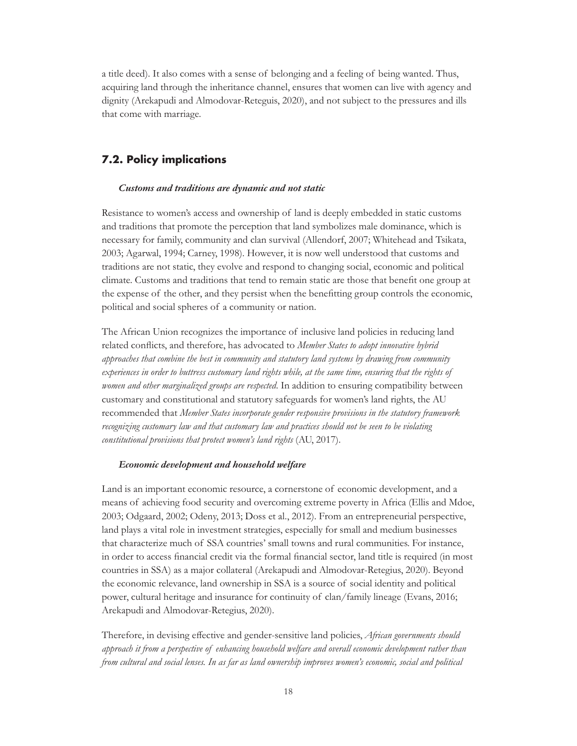<span id="page-21-0"></span>a title deed). It also comes with a sense of belonging and a feeling of being wanted. Thus, acquiring land through the inheritance channel, ensures that women can live with agency and dignity (Arekapudi and Almodovar-Reteguis, 2020), and not subject to the pressures and ills that come with marriage.

#### **7.2. Policy implications**

#### *Customs and traditions are dynamic and not static*

Resistance to women's access and ownership of land is deeply embedded in static customs and traditions that promote the perception that land symbolizes male dominance, which is necessary for family, community and clan survival (Allendorf, 2007; Whitehead and Tsikata, 2003; Agarwal, 1994; Carney, 1998). However, it is now well understood that customs and traditions are not static, they evolve and respond to changing social, economic and political climate. Customs and traditions that tend to remain static are those that benefit one group at the expense of the other, and they persist when the benefitting group controls the economic, political and social spheres of a community or nation.

The African Union recognizes the importance of inclusive land policies in reducing land related conflicts, and therefore, has advocated to *Member States to adopt innovative hybrid approaches that combine the best in community and statutory land systems by drawing from community experiences in order to buttress customary land rights while, at the same time, ensuring that the rights of women and other marginalized groups are respected*. In addition to ensuring compatibility between customary and constitutional and statutory safeguards for women's land rights, the AU recommended that *Member States incorporate gender responsive provisions in the statutory framework recognizing customary law and that customary law and practices should not be seen to be violating constitutional provisions that protect women's land rights* (AU, 2017).

#### *Economic development and household welfare*

Land is an important economic resource, a cornerstone of economic development, and a means of achieving food security and overcoming extreme poverty in Africa (Ellis and Mdoe, 2003; Odgaard, 2002; Odeny, 2013; Doss et al., 2012). From an entrepreneurial perspective, land plays a vital role in investment strategies, especially for small and medium businesses that characterize much of SSA countries' small towns and rural communities. For instance, in order to access financial credit via the formal financial sector, land title is required (in most countries in SSA) as a major collateral (Arekapudi and Almodovar-Retegius, 2020). Beyond the economic relevance, land ownership in SSA is a source of social identity and political power, cultural heritage and insurance for continuity of clan/family lineage (Evans, 2016; Arekapudi and Almodovar-Retegius, 2020).

Therefore, in devising effective and gender-sensitive land policies, *African governments should approach it from a perspective of enhancing household welfare and overall economic development rather than from cultural and social lenses. In as far as land ownership improves women's economic, social and political*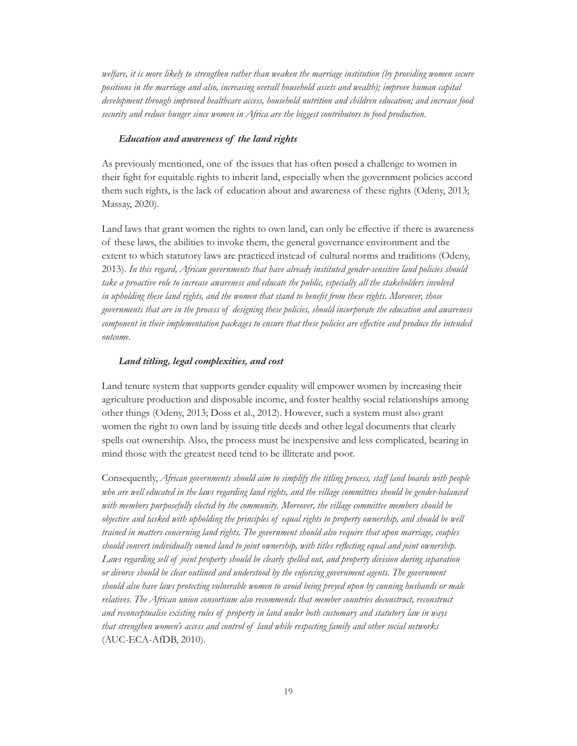*welfare, it is more likely to strengthen rather than weaken the marriage institution (by providing women secure positions in the marriage and also, increasing overall household assets and wealth); improve human capital development through improved healthcare access, household nutrition and children education; and increase food security and reduce hunger since women in Africa are the biggest contributors to food production*.

#### *Education and awareness of the land rights*

As previously mentioned, one of the issues that has often posed a challenge to women in their fight for equitable rights to inherit land, especially when the government policies accord them such rights, is the lack of education about and awareness of these rights (Odeny, 2013; Massay, 2020).

Land laws that grant women the rights to own land, can only be effective if there is awareness of these laws, the abilities to invoke them, the general governance environment and the extent to which statutory laws are practiced instead of cultural norms and traditions (Odeny, 2013). *In this regard, African governments that have already instituted gender-sensitive land policies should take a proactive role to increase awareness and educate the public, especially all the stakeholders involved in upholding these land rights, and the women that stand to benefit from these rights. Moreover, those governments that are in the process of designing these policies, should incorporate the education and awareness component in their implementation packages to ensure that these policies are effective and produce the intended outcome*.

#### *Land titling, legal complexities, and cost*

Land tenure system that supports gender equality will empower women by increasing their agriculture production and disposable income, and foster healthy social relationships among other things (Odeny, 2013; Doss et al., 2012). However, such a system must also grant women the right to own land by issuing title deeds and other legal documents that clearly spells out ownership. Also, the process must be inexpensive and less complicated, bearing in mind those with the greatest need tend to be illiterate and poor.

Consequently, *African governments should aim to simplify the titling process, staff land boards with people who are well educated in the laws regarding land rights, and the village committees should be gender-balanced with members purposefully elected by the community. Moreover, the village committee members should be objective and tasked with upholding the principles of equal rights to property ownership, and should be well trained in matters concerning land rights. The government should also require that upon marriage, couples should convert individually owned land to joint ownership, with titles reflecting equal and joint ownership. Laws regarding sell of joint property should be clearly spelled out, and property division during separation or divorce should be clear outlined and understood by the enforcing government agents. The government should also have laws protecting vulnerable women to avoid being preyed upon by cunning husbands or male relatives. The African union consortium also recommends that member countries deconstruct, reconstruct and reconceptualise existing rules of property in land under both customary and statutory law in ways that strengthen women's access and control of land while respecting family and other social networks* (AUC-ECA-AfDB, 2010).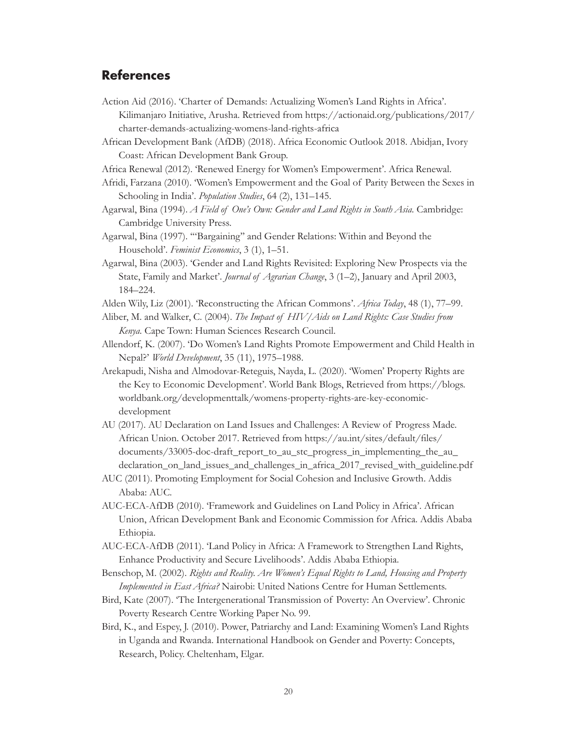## <span id="page-23-0"></span>**References**

- Action Aid (2016). 'Charter of Demands: Actualizing Women's Land Rights in Africa'. Kilimanjaro Initiative, Arusha. Retrieved from [https://actionaid.org/publications/2017/](https://actionaid.org/publications/2017/charter-demands-actualizing-womens-land-rights-africa) [charter-demands-actualizing-womens-land-rights-africa](https://actionaid.org/publications/2017/charter-demands-actualizing-womens-land-rights-africa)
- African Development Bank (AfDB) (2018). Africa Economic Outlook 2018. Abidjan, Ivory Coast: African Development Bank Group.
- Africa Renewal (2012). 'Renewed Energy for Women's Empowerment'. Africa Renewal.
- Afridi, Farzana (2010). 'Women's Empowerment and the Goal of Parity Between the Sexes in Schooling in India'. *Population Studies*, 64 (2), 131–145.
- Agarwal, Bina (1994). *A Field of One's Own: Gender and Land Rights in South Asia.* Cambridge: Cambridge University Press.
- Agarwal, Bina (1997). '"Bargaining'' and Gender Relations: Within and Beyond the Household'. *Feminist Economics*, 3 (1), 1–51.
- Agarwal, Bina (2003). 'Gender and Land Rights Revisited: Exploring New Prospects via the State, Family and Market'. *Journal of Agrarian Change*, 3 (1–2), January and April 2003, 184–224.
- Alden Wily, Liz (2001). 'Reconstructing the African Commons'. *Africa Today*, 48 (1), 77–99.
- Aliber, M. and Walker, C. (2004). *The Impact of HIV/Aids on Land Rights: Case Studies from Kenya.* Cape Town: Human Sciences Research Council.
- Allendorf, K. (2007). 'Do Women's Land Rights Promote Empowerment and Child Health in Nepal?' *World Development*, 35 (11), 1975–1988.
- Arekapudi, Nisha and Almodovar-Reteguis, Nayda, L. (2020). 'Women' Property Rights are the Key to Economic Development'. World Bank Blogs, Retrieved from [https://blogs.](https://blogs.worldbank.org/developmenttalk/womens-property-rights-are-key-economic-development) [worldbank.org/developmenttalk/womens-property-rights-are-key-economic](https://blogs.worldbank.org/developmenttalk/womens-property-rights-are-key-economic-development)[development](https://blogs.worldbank.org/developmenttalk/womens-property-rights-are-key-economic-development)
- AU (2017). AU Declaration on Land Issues and Challenges: A Review of Progress Made. African Union. October 2017. Retrieved from [https://au.int/sites/default/files/](https://au.int/sites/default/files/documents/33005-doc-draft_report_to_au_stc_progress_in_implementing_the_au_declaration_on_land_issues_and_challenges_in_africa_2017_revised_with_guideline.pdf) [documents/33005-doc-draft\\_report\\_to\\_au\\_stc\\_progress\\_in\\_implementing\\_the\\_au\\_](https://au.int/sites/default/files/documents/33005-doc-draft_report_to_au_stc_progress_in_implementing_the_au_declaration_on_land_issues_and_challenges_in_africa_2017_revised_with_guideline.pdf) [declaration\\_on\\_land\\_issues\\_and\\_challenges\\_in\\_africa\\_2017\\_revised\\_with\\_guideline.pdf](https://au.int/sites/default/files/documents/33005-doc-draft_report_to_au_stc_progress_in_implementing_the_au_declaration_on_land_issues_and_challenges_in_africa_2017_revised_with_guideline.pdf)
- AUC (2011). Promoting Employment for Social Cohesion and Inclusive Growth. Addis Ababa: AUC.
- AUC-ECA-AfDB (2010). 'Framework and Guidelines on Land Policy in Africa'. African Union, African Development Bank and Economic Commission for Africa. Addis Ababa Ethiopia.
- AUC-ECA-AfDB (2011). 'Land Policy in Africa: A Framework to Strengthen Land Rights, Enhance Productivity and Secure Livelihoods'. Addis Ababa Ethiopia.
- Benschop, M. (2002). *Rights and Reality. Are Women's Equal Rights to Land, Housing and Property Implemented in East Africa?* Nairobi: United Nations Centre for Human Settlements.
- Bird, Kate (2007). 'The Intergenerational Transmission of Poverty: An Overview'. Chronic Poverty Research Centre Working Paper No. 99.
- Bird, K., and Espey, J. (2010). Power, Patriarchy and Land: Examining Women's Land Rights in Uganda and Rwanda. International Handbook on Gender and Poverty: Concepts, Research, Policy. Cheltenham, Elgar.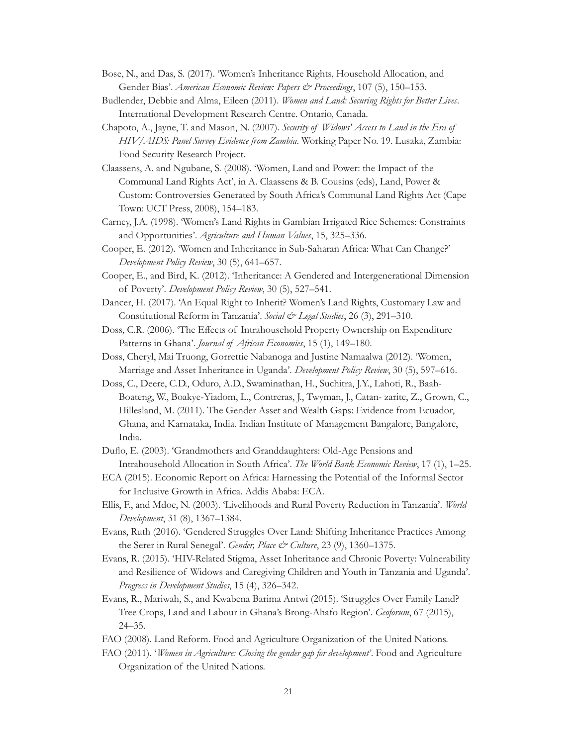- Bose, N., and Das, S. (2017). 'Women's Inheritance Rights, Household Allocation, and Gender Bias'. *American Economic Review: Papers & Proceedings*, 107 (5), 150-153.
- Budlender, Debbie and Alma, Eileen (2011). *Women and Land: Securing Rights for Better Lives*. International Development Research Centre. Ontario, Canada.
- Chapoto, A., Jayne, T. and Mason, N. (2007). *Security of Widows' Access to Land in the Era of HIV/AIDS: Panel Survey Evidence from Zambia*. Working Paper No. 19. Lusaka, Zambia: Food Security Research Project.
- Claassens, A. and Ngubane, S. (2008). 'Women, Land and Power: the Impact of the Communal Land Rights Act', in A. Claassens & B. Cousins (eds), Land, Power & Custom: Controversies Generated by South Africa's Communal Land Rights Act (Cape Town: UCT Press, 2008), 154–183.
- Carney, J.A. (1998). 'Women's Land Rights in Gambian Irrigated Rice Schemes: Constraints and Opportunities'. *Agriculture and Human Values*, 15, 325–336.
- Cooper, E. (2012). 'Women and Inheritance in Sub-Saharan Africa: What Can Change?' *Development Policy Review*, 30 (5), 641–657.
- Cooper, E., and Bird, K. (2012). 'Inheritance: A Gendered and Intergenerational Dimension of Poverty'. *Development Policy Review*, 30 (5), 527–541.
- Dancer, H. (2017). 'An Equal Right to Inherit? Women's Land Rights, Customary Law and Constitutional Reform in Tanzania'. *Social & Legal Studies*, 26 (3), 291–310.
- Doss, C.R. (2006). 'The Effects of Intrahousehold Property Ownership on Expenditure Patterns in Ghana'. *Journal of African Economies*, 15 (1), 149–180.
- Doss, Cheryl, Mai Truong, Gorrettie Nabanoga and Justine Namaalwa (2012). 'Women, Marriage and Asset Inheritance in Uganda'. *Development Policy Review*, 30 (5), 597–616.
- Doss, C., Deere, C.D., Oduro, A.D., Swaminathan, H., Suchitra, J.Y., Lahoti, R., Baah-Boateng, W., Boakye-Yiadom, L., Contreras, J., Twyman, J., Catan- zarite, Z., Grown, C., Hillesland, M. (2011). The Gender Asset and Wealth Gaps: Evidence from Ecuador, Ghana, and Karnataka, India. Indian Institute of Management Bangalore, Bangalore, India.
- Duflo, E. (2003). 'Grandmothers and Granddaughters: Old-Age Pensions and Intrahousehold Allocation in South Africa'. *The World Bank Economic Review*, 17 (1), 1–25.
- ECA (2015). Economic Report on Africa: Harnessing the Potential of the Informal Sector for Inclusive Growth in Africa. Addis Ababa: ECA.
- Ellis, F., and Mdoe, N. (2003). 'Livelihoods and Rural Poverty Reduction in Tanzania'. *World Development*, 31 (8), 1367–1384.
- Evans, Ruth (2016). 'Gendered Struggles Over Land: Shifting Inheritance Practices Among the Serer in Rural Senegal'. *Gender, Place & Culture*, 23 (9), 1360–1375.
- Evans, R. (2015). 'HIV-Related Stigma, Asset Inheritance and Chronic Poverty: Vulnerability and Resilience of Widows and Caregiving Children and Youth in Tanzania and Uganda'. *Progress in Development Studies*, 15 (4), 326–342.
- Evans, R., Mariwah, S., and Kwabena Barima Antwi (2015). 'Struggles Over Family Land? Tree Crops, Land and Labour in Ghana's Brong-Ahafo Region'. *Geoforum*, 67 (2015), 24–35.
- FAO (2008). Land Reform. Food and Agriculture Organization of the United Nations.
- FAO (2011). '*Women in Agriculture: Closing the gender gap for development'*. Food and Agriculture Organization of the United Nations.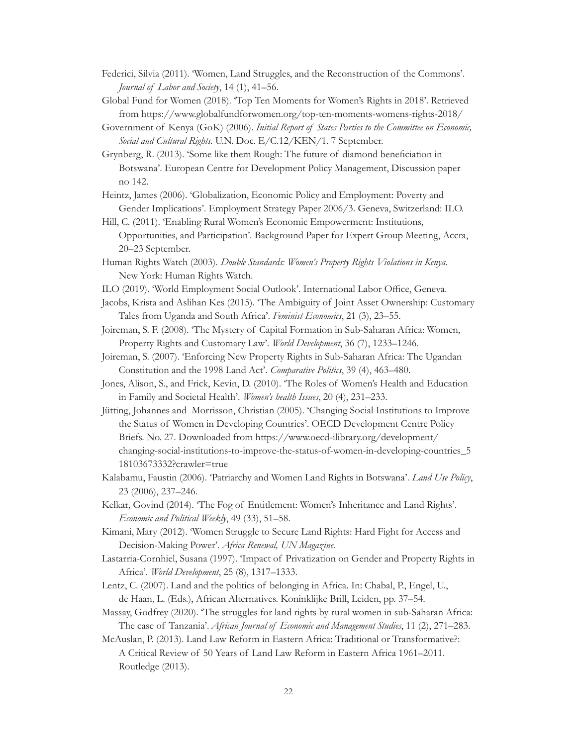- Federici, Silvia (2011). 'Women, Land Struggles, and the Reconstruction of the Commons'. *Journal of Labor and Society*, 14 (1), 41–56.
- Global Fund for Women (2018). 'Top Ten Moments for Women's Rights in 2018'. Retrieved from <https://www.globalfundforwomen.org/top-ten-moments-womens-rights-2018/>
- Government of Kenya (GoK) (2006). *Initial Report of States Parties to the Committee on Economic, Social and Cultural Rights.* U.N. Doc. E/C.12/KEN/1. 7 September.
- Grynberg, R. (2013). 'Some like them Rough: The future of diamond beneficiation in Botswana'. European Centre for Development Policy Management, Discussion paper no 142.
- Heintz, James (2006). 'Globalization, Economic Policy and Employment: Poverty and Gender Implications'. Employment Strategy Paper 2006/3. Geneva, Switzerland: ILO.
- Hill, C. (2011). 'Enabling Rural Women's Economic Empowerment: Institutions, Opportunities, and Participation'*.* Background Paper for Expert Group Meeting, Accra, 20–23 September.
- Human Rights Watch (2003). *Double Standards: Women's Property Rights Violations in Kenya*. New York: Human Rights Watch.
- ILO (2019). 'World Employment Social Outlook'. International Labor Office, Geneva.
- Jacobs, Krista and Aslihan Kes (2015). 'The Ambiguity of Joint Asset Ownership: Customary Tales from Uganda and South Africa'. *Feminist Economics*, 21 (3), 23–55.
- Joireman, S. F. (2008). 'The Mystery of Capital Formation in Sub-Saharan Africa: Women, Property Rights and Customary Law'. *World Development*, 36 (7), 1233–1246.
- Joireman, S. (2007). 'Enforcing New Property Rights in Sub-Saharan Africa: The Ugandan Constitution and the 1998 Land Act'. *Comparative Politics*, 39 (4), 463–480.
- Jones, Alison, S., and Frick, Kevin, D. (2010). 'The Roles of Women's Health and Education in Family and Societal Health'. *Women's health Issues*, 20 (4), 231–233.
- Jütting, Johannes and Morrisson, Christian (2005). 'Changing Social Institutions to Improve the Status of Women in Developing Countries'. OECD Development Centre Policy Briefs. No. 27. Downloaded from [https://www.oecd-ilibrary.org/development/](https://www.oecd-ilibrary.org/development/changing-social-institutions-to-improve-the-status-of-women-in-developing-countries_518103673332?crawler=true) [changing-social-institutions-to-improve-the-status-of-women-in-developing-countries\\_5](https://www.oecd-ilibrary.org/development/changing-social-institutions-to-improve-the-status-of-women-in-developing-countries_518103673332?crawler=true) [18103673332?crawler=true](https://www.oecd-ilibrary.org/development/changing-social-institutions-to-improve-the-status-of-women-in-developing-countries_518103673332?crawler=true)
- Kalabamu, Faustin (2006). 'Patriarchy and Women Land Rights in Botswana'. *Land Use Policy*, 23 (2006), 237–246.
- Kelkar, Govind (2014). 'The Fog of Entitlement: Women's Inheritance and Land Rights'. *Economic and Political Weekly*, 49 (33), 51–58.
- Kimani, Mary (2012). 'Women Struggle to Secure Land Rights: Hard Fight for Access and Decision-Making Power'. *Africa Renewal, UN Magazine.*
- Lastarria-Cornhiel, Susana (1997). 'Impact of Privatization on Gender and Property Rights in Africa'. *World Development*, 25 (8), 1317–1333.
- Lentz, C. (2007). Land and the politics of belonging in Africa. In: Chabal, P., Engel, U., de Haan, L. (Eds.), African Alternatives. Koninklijke Brill, Leiden, pp. 37–54.
- Massay, Godfrey (2020). 'The struggles for land rights by rural women in sub-Saharan Africa: The case of Tanzania'. *African Journal of Economic and Management Studies*, 11 (2), 271–283.
- McAuslan, P. (2013). Land Law Reform in Eastern Africa: Traditional or Transformative?: A Critical Review of 50 Years of Land Law Reform in Eastern Africa 1961–2011. Routledge (2013).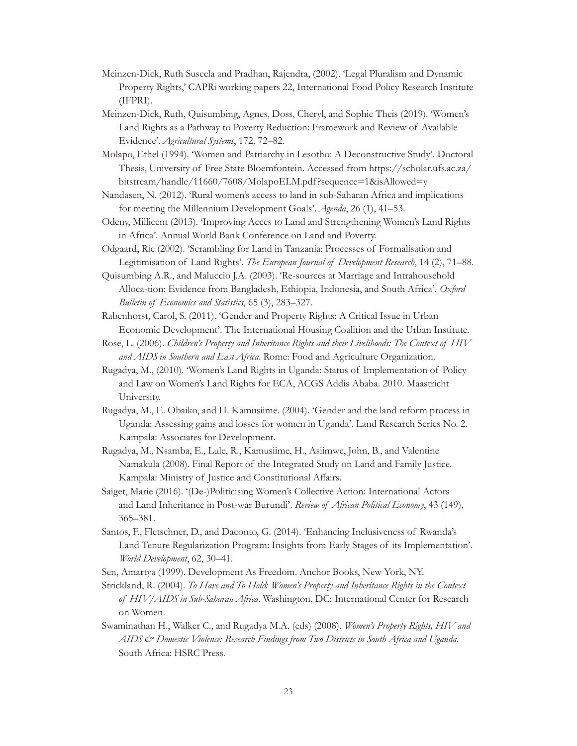- Meinzen-Dick, Ruth Suseela and Pradhan, Rajendra, (2002). ['Legal Pluralism and Dynamic](https://ideas.repec.org/p/fpr/worpps/22.html)  [Property Rights,](https://ideas.repec.org/p/fpr/worpps/22.html)' [CAPRi working papers](https://ideas.repec.org/s/fpr/worpps.html) 22, International Food Policy Research Institute (IFPRI).
- Meinzen-Dick, Ruth, Quisumbing, Agnes, Doss, Cheryl, and Sophie Theis (2019). 'Women's Land Rights as a Pathway to Poverty Reduction: Framework and Review of Available Evidence'. *Agricultural Systems*, 172, 72–82.
- Molapo, Ethel (1994). 'Women and Patriarchy in Lesotho: A Deconstructive Study'. Doctoral Thesis, University of Free State Bloemfontein. Accessed from [https://scholar.ufs.ac.za/](https://scholar.ufs.ac.za/bitstream/handle/11660/7608/MolapoELM.pdf?sequence=1&isAllowed=y) [bitstream/handle/11660/7608/MolapoELM.pdf?sequence=1&isAllowed=y](https://scholar.ufs.ac.za/bitstream/handle/11660/7608/MolapoELM.pdf?sequence=1&isAllowed=y)
- Nandasen, N. (2012). 'Rural women's access to land in sub-Saharan Africa and implications for meeting the Millennium Development Goals'. *Agenda*, 26 (1), 41–53.
- Odeny, Millicent (2013). 'Improving Acces to Land and Strengthening Women's Land Rights in Africa'. Annual World Bank Conference on Land and Poverty.
- Odgaard, Rie (2002). 'Scrambling for Land in Tanzania: Processes of Formalisation and Legitimisation of Land Rights'. *The European Journal of Development Research*, 14 (2), 71–88.
- Quisumbing A.R., and Maluccio J.A. (2003). 'Re-sources at Marriage and Intrahousehold Alloca-tion: Evidence from Bangladesh, Ethiopia, Indonesia, and South Africa'. *Oxford Bulletin of Economics and Statistics*, 65 (3), 283–327.
- Rabenhorst, Carol, S. (2011). 'Gender and Property Rights: A Critical Issue in Urban Economic Development'. The International Housing Coalition and the Urban Institute.
- Rose, L. (2006). *Children's Property and Inheritance Rights and their Livelihoods: The Context of HIV and AIDS in Southern and East Africa*. Rome: Food and Agriculture Organization.
- Rugadya, M., (2010). 'Women's Land Rights in Uganda: Status of Implementation of Policy and Law on Women's Land Rights for ECA, ACGS Addis Ababa. 2010. Maastricht University.
- Rugadya, M., E. Obaiko, and H. Kamusiime. (2004). 'Gender and the land reform process in Uganda: Assessing gains and losses for women in Uganda'. Land Research Series No. 2. Kampala: Associates for Development.
- Rugadya, M., Nsamba, E., Lule, R., Kamusiime, H., Asiimwe, John, B., and Valentine Namakula (2008). Final Report of the Integrated Study on Land and Family Justice. Kampala: Ministry of Justice and Constitutional Affairs.
- Saiget, Marie (2016). '(De-)Politicising Women's Collective Action: International Actors and Land Inheritance in Post-war Burundi'. *Review of African Political Economy*, 43 (149), 365–381.
- Santos, F., Fletschner, D., and Daconto, G. (2014). 'Enhancing Inclusiveness of Rwanda's Land Tenure Regularization Program: Insights from Early Stages of its Implementation'. *World Development*, 62, 30–41.
- Sen, Amartya (1999). Development As Freedom. Anchor Books, New York, NY.
- Strickland, R. (2004). *To Have and To Hold: Women's Property and Inheritance Rights in the Context of HIV/AIDS in Sub-Saharan Africa.* Washington, DC: International Center for Research on Women.
- Swaminathan H., Walker C., and Rugadya M.A. (eds) (2008). *Women's Property Rights, HIV and AIDS & Domestic Violence: Research Findings from Two Districts in South Africa and Uganda*. South Africa: HSRC Press.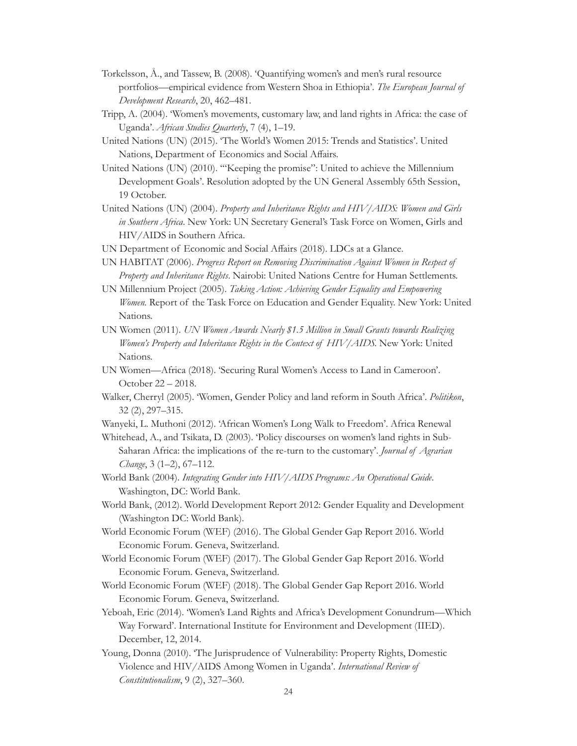- Torkelsson, Å., and Tassew, B. (2008). 'Quantifying women's and men's rural resource portfolios—empirical evidence from Western Shoa in Ethiopia'. *The European Journal of Development Research*, 20, 462–481.
- Tripp, A. (2004). 'Women's movements, customary law, and land rights in Africa: the case of Uganda'. *African Studies Quarterly*, 7 (4), 1–19.
- United Nations (UN) (2015). 'The World's Women 2015: Trends and Statistics'. United Nations, Department of Economics and Social Affairs.
- United Nations (UN) (2010). '"Keeping the promise": United to achieve the Millennium Development Goals'. Resolution adopted by the UN General Assembly 65th Session, 19 October.
- United Nations (UN) (2004). *Property and Inheritance Rights and HIV/AIDS: Women and Girls in Southern Africa*. New York: UN Secretary General's Task Force on Women, Girls and HIV/AIDS in Southern Africa.
- UN Department of Economic and Social Affairs (2018). LDCs at a Glance.
- UN HABITAT (2006). *Progress Report on Removing Discrimination Against Women in Respect of Property and Inheritance Rights*. Nairobi: United Nations Centre for Human Settlements.
- UN Millennium Project (2005). *Taking Action: Achieving Gender Equality and Empowering Women.* Report of the Task Force on Education and Gender Equality. New York: United Nations.
- UN Women (2011). *UN Women Awards Nearly \$1.5 Million in Small Grants towards Realizing Women's Property and Inheritance Rights in the Context of HIV/AIDS*. New York: United Nations.
- UN Women—Africa (2018). 'Securing Rural Women's Access to Land in Cameroon'. October 22 – 2018.
- Walker, Cherryl (2005). 'Women, Gender Policy and land reform in South Africa'. *Politikon*, 32 (2), 297–315.
- Wanyeki, L. Muthoni (2012). 'African Women's Long Walk to Freedom'. Africa Renewal
- Whitehead, A., and Tsikata, D. (2003). 'Policy discourses on women's land rights in Sub-Saharan Africa: the implications of the re-turn to the customary'. *Journal of Agrarian Change*, 3 (1–2), 67–112.
- World Bank (2004). *Integrating Gender into HIV/AIDS Programs: An Operational Guide*. Washington, DC: World Bank.
- World Bank, (2012). World Development Report 2012: Gender Equality and Development (Washington DC: World Bank).
- World Economic Forum (WEF) (2016). The Global Gender Gap Report 2016. World Economic Forum. Geneva, Switzerland.
- World Economic Forum (WEF) (2017). The Global Gender Gap Report 2016. World Economic Forum. Geneva, Switzerland.
- World Economic Forum (WEF) (2018). The Global Gender Gap Report 2016. World Economic Forum. Geneva, Switzerland.
- Yeboah, Eric (2014). 'Women's Land Rights and Africa's Development Conundrum—Which Way Forward'. International Institute for Environment and Development (IIED). December, 12, 2014.
- Young, Donna (2010). 'The Jurisprudence of Vulnerability: Property Rights, Domestic Violence and HIV/AIDS Among Women in Uganda'. *International Review of Constitutionalism*, 9 (2), 327–360.